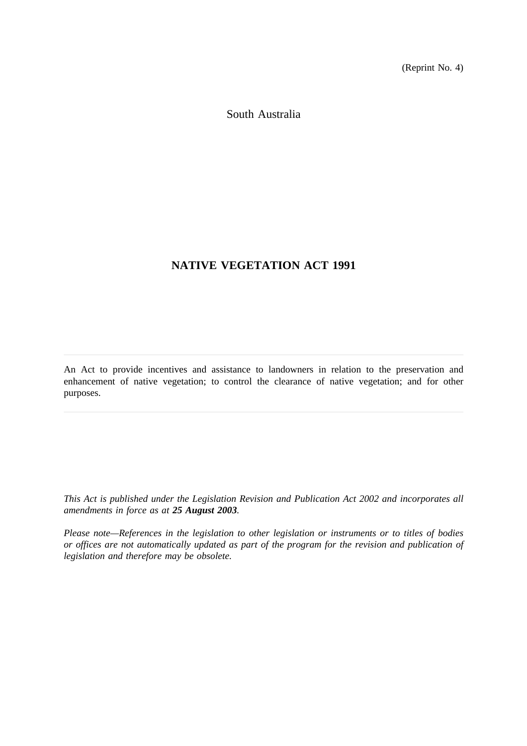(Reprint No. 4)

South Australia

## **NATIVE VEGETATION ACT 1991**

An Act to provide incentives and assistance to landowners in relation to the preservation and enhancement of native vegetation; to control the clearance of native vegetation; and for other purposes.

*This Act is published under the Legislation Revision and Publication Act 2002 and incorporates all amendments in force as at 25 August 2003.*

*Please note—References in the legislation to other legislation or instruments or to titles of bodies or offices are not automatically updated as part of the program for the revision and publication of legislation and therefore may be obsolete.*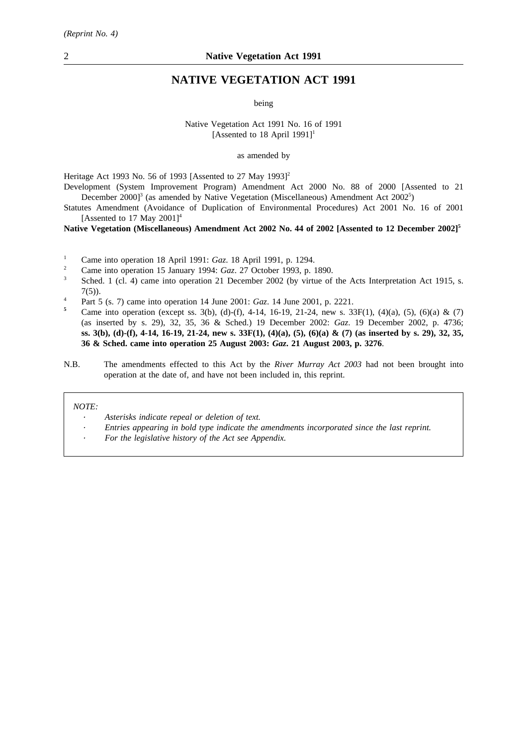## **NATIVE VEGETATION ACT 1991**

being

Native Vegetation Act 1991 No. 16 of 1991 [Assented to 18 April 1991]<sup>1</sup>

as amended by

Heritage Act 1993 No. 56 of 1993 [Assented to 27 May 1993]<sup>2</sup>

Development (System Improvement Program) Amendment Act 2000 No. 88 of 2000 [Assented to 21 December 2000]<sup>3</sup> (as amended by Native Vegetation (Miscellaneous) Amendment Act 2002<sup>5</sup>)

Statutes Amendment (Avoidance of Duplication of Environmental Procedures) Act 2001 No. 16 of 2001 [Assented to 17 May  $2001$ ]<sup>4</sup>

### **Native Vegetation (Miscellaneous) Amendment Act 2002 No. 44 of 2002 [Assented to 12 December 2002]5**

- <sup>1</sup> Came into operation 18 April 1991: *Gaz*. 18 April 1991, p. 1294.<br><sup>2</sup> Came into operation 15 January 1004: *Caz*. 27 October 1003, p. 1
- <sup>2</sup> Came into operation 15 January 1994: *Gaz.* 27 October 1993, p. 1890.
- Sched. 1 (cl. 4) came into operation 21 December 2002 (by virtue of the Acts Interpretation Act 1915, s. 7(5)).
- <sup>4</sup> Part 5 (s. 7) came into operation 14 June 2001: *Gaz*. 14 June 2001, p. 2221.
- Came into operation (except ss. 3(b), (d)-(f), 4-14, 16-19, 21-24, new s. 33F(1), (4)(a), (5), (6)(a) & (7) (as inserted by s. 29), 32, 35, 36 & Sched.) 19 December 2002: *Gaz*. 19 December 2002, p. 4736; **ss. 3(b), (d)-(f), 4-14, 16-19, 21-24, new s. 33F(1), (4)(a), (5), (6)(a) & (7) (as inserted by s. 29), 32, 35, 36 & Sched. came into operation 25 August 2003:** *Gaz***. 21 August 2003, p. 3276**.
- N.B. The amendments effected to this Act by the *River Murray Act 2003* had not been brought into operation at the date of, and have not been included in, this reprint.

#### *NOTE:*

*Asterisks indicate repeal or deletion of text.*

- *Entries appearing in bold type indicate the amendments incorporated since the last reprint.*
- *For the legislative history of the Act see Appendix.*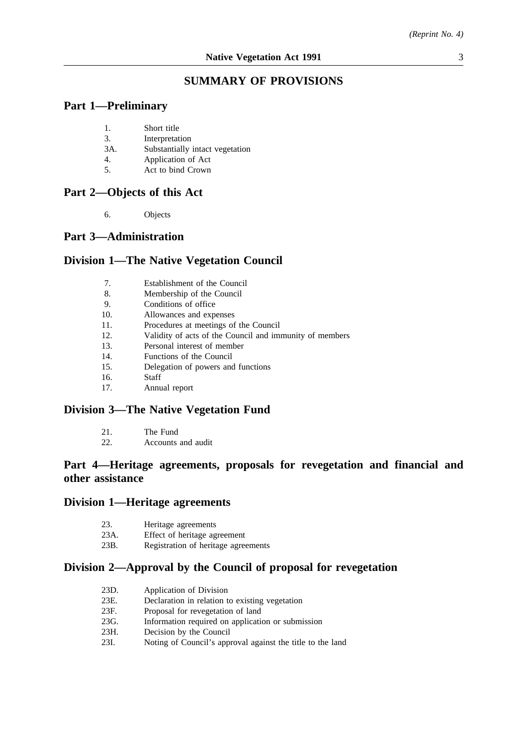## **SUMMARY OF PROVISIONS**

## **Part 1—Preliminary**

- 1. Short title
- 3. Interpretation
- 3A. Substantially intact vegetation
- 4. Application of Act
- 5. Act to bind Crown

## **Part 2—Objects of this Act**

6. Objects

### **Part 3—Administration**

## **Division 1—The Native Vegetation Council**

- 7. Establishment of the Council
- 8. Membership of the Council
- 9. Conditions of office
- 10. Allowances and expenses
- 11. Procedures at meetings of the Council
- 12. Validity of acts of the Council and immunity of members
- 13. Personal interest of member
- 14. Functions of the Council
- 15. Delegation of powers and functions
- 16. Staff
- 17. Annual report

## **Division 3—The Native Vegetation Fund**

22. Accounts and audit

## **Part 4—Heritage agreements, proposals for revegetation and financial and other assistance**

### **Division 1—Heritage agreements**

- 23. Heritage agreements
- 23A. Effect of heritage agreement
- 23B. Registration of heritage agreements

## **Division 2—Approval by the Council of proposal for revegetation**

- 23D. Application of Division
- 23E. Declaration in relation to existing vegetation
- 23F. Proposal for revegetation of land
- 23G. Information required on application or submission
- 23H. Decision by the Council
- 23I. Noting of Council's approval against the title to the land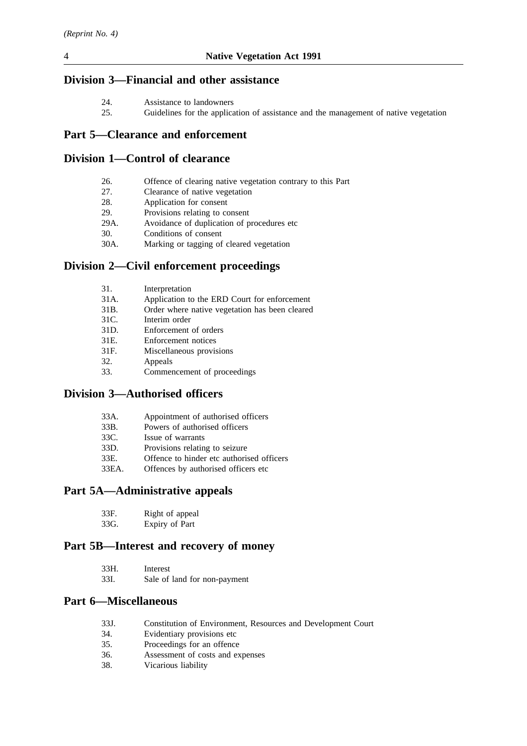## **Division 3—Financial and other assistance**

- 24. Assistance to landowners<br>25. Guidelines for the applica
- Guidelines for the application of assistance and the management of native vegetation

## **Part 5—Clearance and enforcement**

## **Division 1—Control of clearance**

| 26.  | Offence of clearing native vegetation contrary to this Part |
|------|-------------------------------------------------------------|
| 27.  | Clearance of native vegetation                              |
| 28.  | Application for consent                                     |
| 29.  | Provisions relating to consent                              |
| 29A. | Avoidance of duplication of procedures etc.                 |
| 30.  | Conditions of consent                                       |
| 30A. | Marking or tagging of cleared vegetation                    |
|      | Division 2—Civil enforcement proceedings                    |
| 31.  | Interpretation                                              |

- 31A. Application to the ERD Court for enforcement 31B. Order where native vegetation has been cleared
- 31C. Interim order
- 31D. Enforcement of orders
- 31E. Enforcement notices
- 31F. Miscellaneous provisions
- 32. Appeals
- 33. Commencement of proceedings

## **Division 3—Authorised officers**

| 33A. | Appointment of authorised officers |
|------|------------------------------------|
|------|------------------------------------|

- 33B. Powers of authorised officers
- 33C. Issue of warrants
- 33D. Provisions relating to seizure
- 33E. Offence to hinder etc authorised officers
- 33EA. Offences by authorised officers etc

## **Part 5A—Administrative appeals**

| 33F. | Right of appeal |
|------|-----------------|
| 33G. | Expiry of Part  |

# **Part 5B—Interest and recovery of money**

| 33H. | Interest                     |
|------|------------------------------|
| 33I. | Sale of land for non-payment |

## **Part 6—Miscellaneous**

- 33J. Constitution of Environment, Resources and Development Court
- 34. Evidentiary provisions etc
- 35. Proceedings for an offence
- 36. Assessment of costs and expenses
- 38. Vicarious liability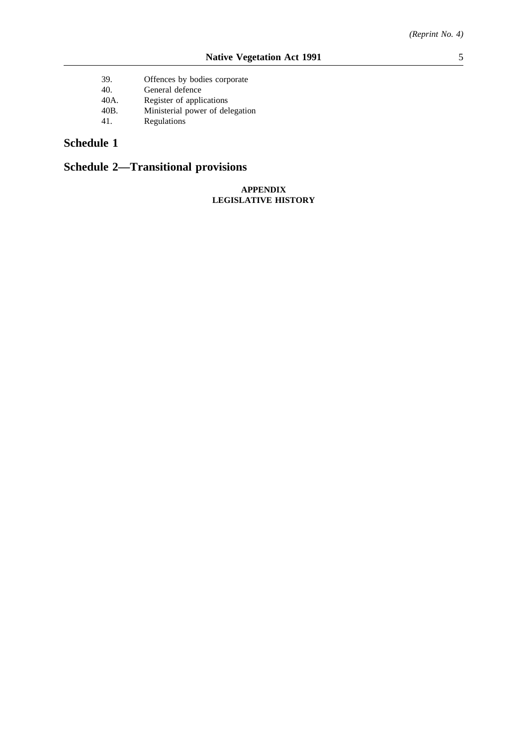39. Offences by bodies corporate 40. General defence 40A. Register of applications<br>40B. Ministerial power of del 40B. Ministerial power of delegation 41. **Regulations** 

## **Schedule 1**

# **Schedule 2—Transitional provisions**

### **APPENDIX LEGISLATIVE HISTORY**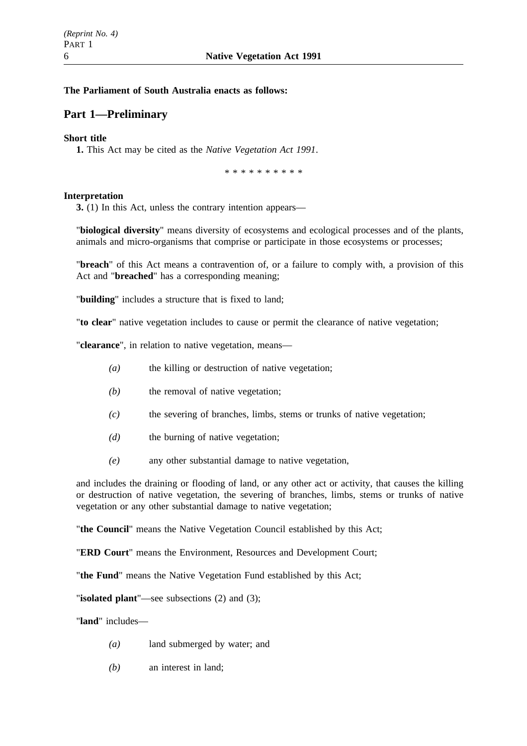### **The Parliament of South Australia enacts as follows:**

## **Part 1—Preliminary**

### **Short title**

**1.** This Act may be cited as the *Native Vegetation Act 1991*.

\*\*\*\*\*\*\*\*\*\*

### **Interpretation**

**3.** (1) In this Act, unless the contrary intention appears—

"**biological diversity**" means diversity of ecosystems and ecological processes and of the plants, animals and micro-organisms that comprise or participate in those ecosystems or processes;

"**breach**" of this Act means a contravention of, or a failure to comply with, a provision of this Act and "**breached**" has a corresponding meaning;

"**building**" includes a structure that is fixed to land;

"**to clear**" native vegetation includes to cause or permit the clearance of native vegetation;

"**clearance**", in relation to native vegetation, means—

- *(a)* the killing or destruction of native vegetation;
- *(b)* the removal of native vegetation;
- *(c)* the severing of branches, limbs, stems or trunks of native vegetation;
- *(d)* the burning of native vegetation;
- *(e)* any other substantial damage to native vegetation,

and includes the draining or flooding of land, or any other act or activity, that causes the killing or destruction of native vegetation, the severing of branches, limbs, stems or trunks of native vegetation or any other substantial damage to native vegetation;

"**the Council**" means the Native Vegetation Council established by this Act;

"**ERD Court**" means the Environment, Resources and Development Court;

"**the Fund**" means the Native Vegetation Fund established by this Act;

"**isolated plant**"—see subsections (2) and (3);

"**land**" includes—

- *(a)* land submerged by water; and
- *(b)* an interest in land;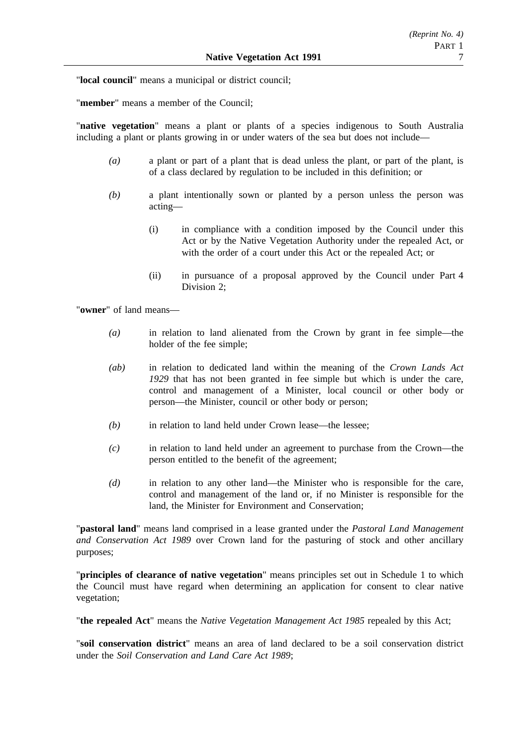"**local council**" means a municipal or district council;

"**member**" means a member of the Council;

"**native vegetation**" means a plant or plants of a species indigenous to South Australia including a plant or plants growing in or under waters of the sea but does not include—

- *(a)* a plant or part of a plant that is dead unless the plant, or part of the plant, is of a class declared by regulation to be included in this definition; or
- *(b)* a plant intentionally sown or planted by a person unless the person was acting—
	- (i) in compliance with a condition imposed by the Council under this Act or by the Native Vegetation Authority under the repealed Act, or with the order of a court under this Act or the repealed Act; or
	- (ii) in pursuance of a proposal approved by the Council under Part 4 Division 2;

"**owner**" of land means—

- *(a)* in relation to land alienated from the Crown by grant in fee simple—the holder of the fee simple;
- *(ab)* in relation to dedicated land within the meaning of the *Crown Lands Act 1929* that has not been granted in fee simple but which is under the care, control and management of a Minister, local council or other body or person—the Minister, council or other body or person;
- *(b)* in relation to land held under Crown lease—the lessee;
- *(c)* in relation to land held under an agreement to purchase from the Crown—the person entitled to the benefit of the agreement;
- *(d)* in relation to any other land—the Minister who is responsible for the care, control and management of the land or, if no Minister is responsible for the land, the Minister for Environment and Conservation;

"**pastoral land**" means land comprised in a lease granted under the *Pastoral Land Management and Conservation Act 1989* over Crown land for the pasturing of stock and other ancillary purposes;

"**principles of clearance of native vegetation**" means principles set out in Schedule 1 to which the Council must have regard when determining an application for consent to clear native vegetation;

"**the repealed Act**" means the *Native Vegetation Management Act 1985* repealed by this Act;

"**soil conservation district**" means an area of land declared to be a soil conservation district under the *Soil Conservation and Land Care Act 1989*;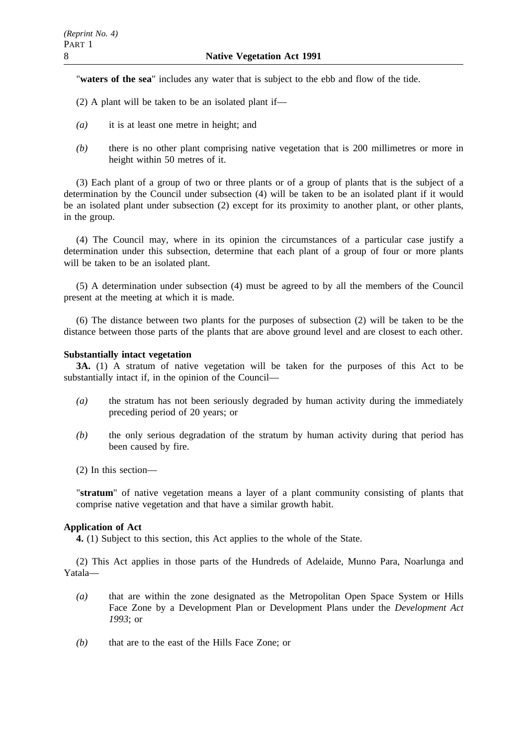"**waters of the sea**" includes any water that is subject to the ebb and flow of the tide.

- (2) A plant will be taken to be an isolated plant if—
- *(a)* it is at least one metre in height; and
- *(b)* there is no other plant comprising native vegetation that is 200 millimetres or more in height within 50 metres of it.

(3) Each plant of a group of two or three plants or of a group of plants that is the subject of a determination by the Council under subsection (4) will be taken to be an isolated plant if it would be an isolated plant under subsection (2) except for its proximity to another plant, or other plants, in the group.

(4) The Council may, where in its opinion the circumstances of a particular case justify a determination under this subsection, determine that each plant of a group of four or more plants will be taken to be an isolated plant.

(5) A determination under subsection (4) must be agreed to by all the members of the Council present at the meeting at which it is made.

(6) The distance between two plants for the purposes of subsection (2) will be taken to be the distance between those parts of the plants that are above ground level and are closest to each other.

### **Substantially intact vegetation**

**3A.** (1) A stratum of native vegetation will be taken for the purposes of this Act to be substantially intact if, in the opinion of the Council—

- *(a)* the stratum has not been seriously degraded by human activity during the immediately preceding period of 20 years; or
- *(b)* the only serious degradation of the stratum by human activity during that period has been caused by fire.
- (2) In this section—

"**stratum**" of native vegetation means a layer of a plant community consisting of plants that comprise native vegetation and that have a similar growth habit.

### **Application of Act**

**4.** (1) Subject to this section, this Act applies to the whole of the State.

(2) This Act applies in those parts of the Hundreds of Adelaide, Munno Para, Noarlunga and Yatala—

- *(a)* that are within the zone designated as the Metropolitan Open Space System or Hills Face Zone by a Development Plan or Development Plans under the *Development Act 1993*; or
- *(b)* that are to the east of the Hills Face Zone; or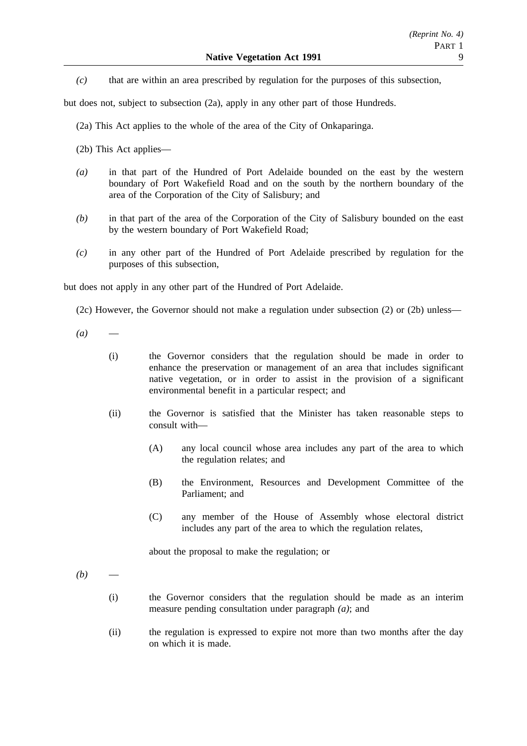*(c)* that are within an area prescribed by regulation for the purposes of this subsection,

but does not, subject to subsection (2a), apply in any other part of those Hundreds.

(2a) This Act applies to the whole of the area of the City of Onkaparinga.

- (2b) This Act applies—
- *(a)* in that part of the Hundred of Port Adelaide bounded on the east by the western boundary of Port Wakefield Road and on the south by the northern boundary of the area of the Corporation of the City of Salisbury; and
- *(b)* in that part of the area of the Corporation of the City of Salisbury bounded on the east by the western boundary of Port Wakefield Road;
- *(c)* in any other part of the Hundred of Port Adelaide prescribed by regulation for the purposes of this subsection,

but does not apply in any other part of the Hundred of Port Adelaide.

(2c) However, the Governor should not make a regulation under subsection (2) or (2b) unless—

- $(a)$ 
	- (i) the Governor considers that the regulation should be made in order to enhance the preservation or management of an area that includes significant native vegetation, or in order to assist in the provision of a significant environmental benefit in a particular respect; and
	- (ii) the Governor is satisfied that the Minister has taken reasonable steps to consult with—
		- (A) any local council whose area includes any part of the area to which the regulation relates; and
		- (B) the Environment, Resources and Development Committee of the Parliament; and
		- (C) any member of the House of Assembly whose electoral district includes any part of the area to which the regulation relates,

about the proposal to make the regulation; or

- $(b)$ 
	- (i) the Governor considers that the regulation should be made as an interim measure pending consultation under paragraph *(a)*; and
	- (ii) the regulation is expressed to expire not more than two months after the day on which it is made.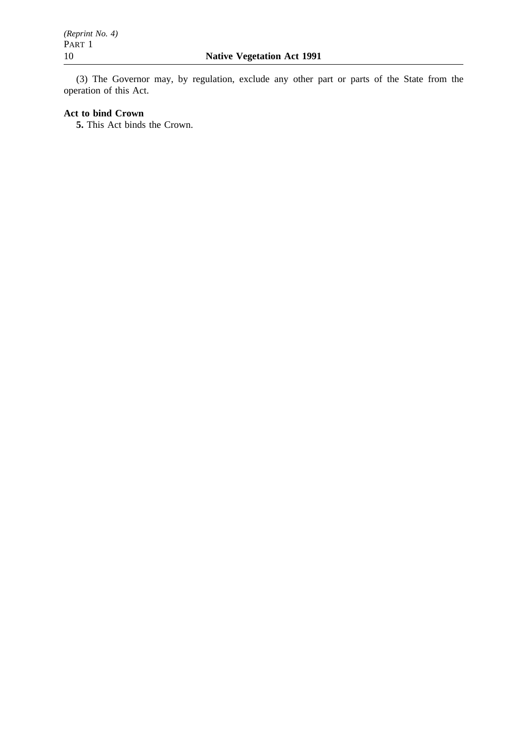(3) The Governor may, by regulation, exclude any other part or parts of the State from the operation of this Act.

## **Act to bind Crown**

**5.** This Act binds the Crown.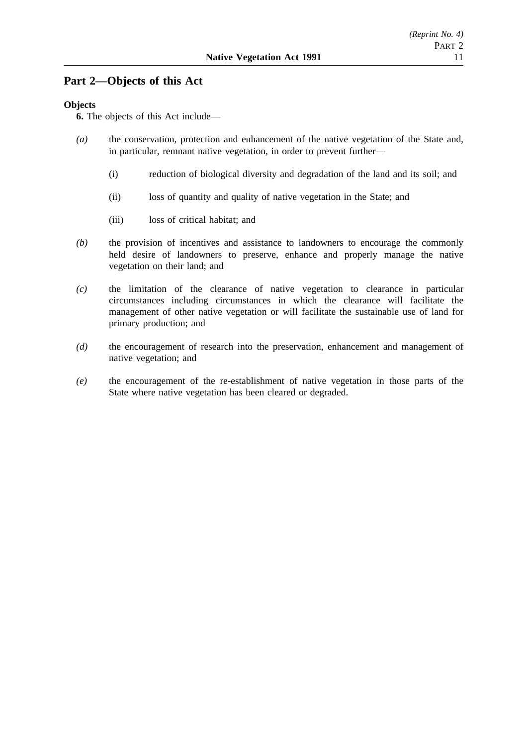## **Part 2—Objects of this Act**

### **Objects**

**6.** The objects of this Act include—

- *(a)* the conservation, protection and enhancement of the native vegetation of the State and, in particular, remnant native vegetation, in order to prevent further—
	- (i) reduction of biological diversity and degradation of the land and its soil; and
	- (ii) loss of quantity and quality of native vegetation in the State; and
	- (iii) loss of critical habitat; and
- *(b)* the provision of incentives and assistance to landowners to encourage the commonly held desire of landowners to preserve, enhance and properly manage the native vegetation on their land; and
- *(c)* the limitation of the clearance of native vegetation to clearance in particular circumstances including circumstances in which the clearance will facilitate the management of other native vegetation or will facilitate the sustainable use of land for primary production; and
- *(d)* the encouragement of research into the preservation, enhancement and management of native vegetation; and
- *(e)* the encouragement of the re-establishment of native vegetation in those parts of the State where native vegetation has been cleared or degraded.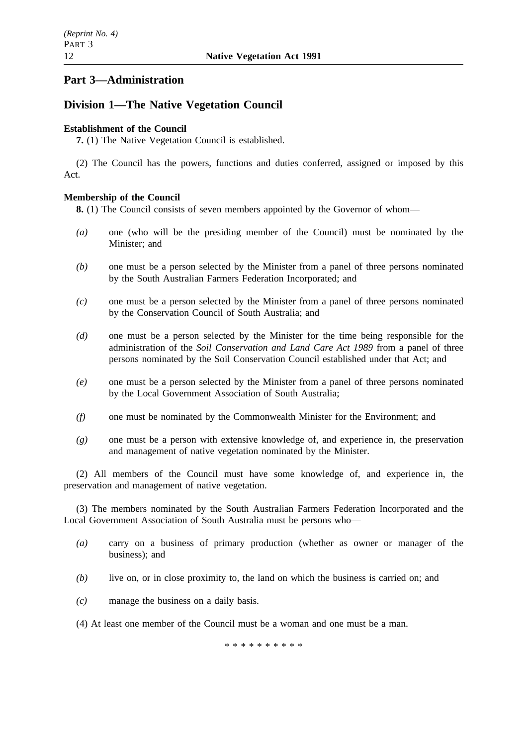## **Part 3—Administration**

## **Division 1—The Native Vegetation Council**

## **Establishment of the Council**

**7.** (1) The Native Vegetation Council is established.

(2) The Council has the powers, functions and duties conferred, assigned or imposed by this Act.

## **Membership of the Council**

**8.** (1) The Council consists of seven members appointed by the Governor of whom—

- *(a)* one (who will be the presiding member of the Council) must be nominated by the Minister; and
- *(b)* one must be a person selected by the Minister from a panel of three persons nominated by the South Australian Farmers Federation Incorporated; and
- *(c)* one must be a person selected by the Minister from a panel of three persons nominated by the Conservation Council of South Australia; and
- *(d)* one must be a person selected by the Minister for the time being responsible for the administration of the *Soil Conservation and Land Care Act 1989* from a panel of three persons nominated by the Soil Conservation Council established under that Act; and
- *(e)* one must be a person selected by the Minister from a panel of three persons nominated by the Local Government Association of South Australia;
- *(f)* one must be nominated by the Commonwealth Minister for the Environment; and
- *(g)* one must be a person with extensive knowledge of, and experience in, the preservation and management of native vegetation nominated by the Minister.

(2) All members of the Council must have some knowledge of, and experience in, the preservation and management of native vegetation.

(3) The members nominated by the South Australian Farmers Federation Incorporated and the Local Government Association of South Australia must be persons who—

- *(a)* carry on a business of primary production (whether as owner or manager of the business); and
- *(b)* live on, or in close proximity to, the land on which the business is carried on; and
- *(c)* manage the business on a daily basis.
- (4) At least one member of the Council must be a woman and one must be a man.

\*\*\*\*\*\*\*\*\*\*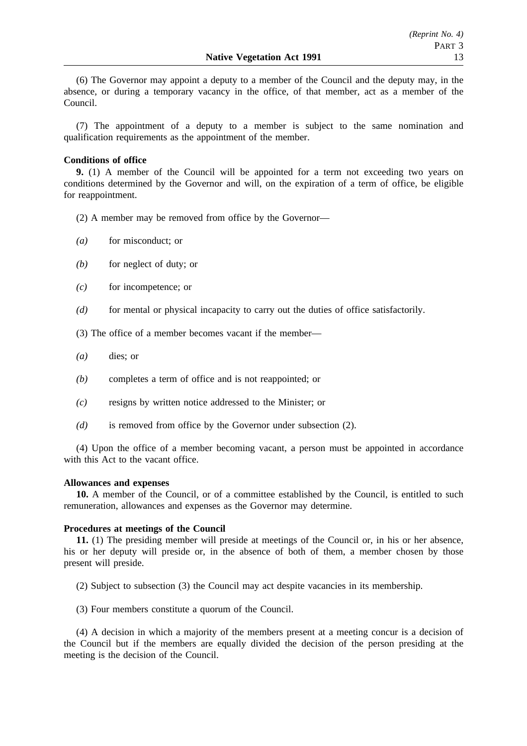(6) The Governor may appoint a deputy to a member of the Council and the deputy may, in the absence, or during a temporary vacancy in the office, of that member, act as a member of the Council.

(7) The appointment of a deputy to a member is subject to the same nomination and qualification requirements as the appointment of the member.

### **Conditions of office**

**9.** (1) A member of the Council will be appointed for a term not exceeding two years on conditions determined by the Governor and will, on the expiration of a term of office, be eligible for reappointment.

(2) A member may be removed from office by the Governor—

- *(a)* for misconduct; or
- *(b)* for neglect of duty; or
- *(c)* for incompetence; or
- *(d)* for mental or physical incapacity to carry out the duties of office satisfactorily.

(3) The office of a member becomes vacant if the member—

- *(a)* dies; or
- *(b)* completes a term of office and is not reappointed; or
- *(c)* resigns by written notice addressed to the Minister; or
- *(d)* is removed from office by the Governor under subsection (2).

(4) Upon the office of a member becoming vacant, a person must be appointed in accordance with this Act to the vacant office.

### **Allowances and expenses**

**10.** A member of the Council, or of a committee established by the Council, is entitled to such remuneration, allowances and expenses as the Governor may determine.

### **Procedures at meetings of the Council**

**11.** (1) The presiding member will preside at meetings of the Council or, in his or her absence, his or her deputy will preside or, in the absence of both of them, a member chosen by those present will preside.

(2) Subject to subsection (3) the Council may act despite vacancies in its membership.

(3) Four members constitute a quorum of the Council.

(4) A decision in which a majority of the members present at a meeting concur is a decision of the Council but if the members are equally divided the decision of the person presiding at the meeting is the decision of the Council.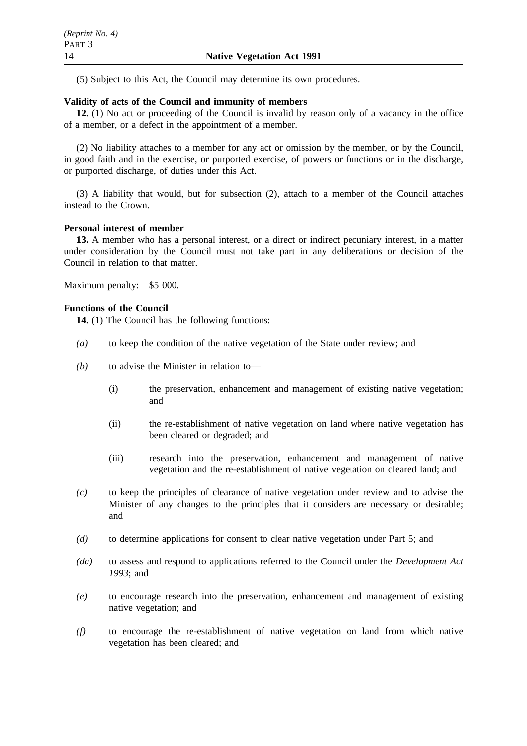(5) Subject to this Act, the Council may determine its own procedures.

### **Validity of acts of the Council and immunity of members**

**12.** (1) No act or proceeding of the Council is invalid by reason only of a vacancy in the office of a member, or a defect in the appointment of a member.

(2) No liability attaches to a member for any act or omission by the member, or by the Council, in good faith and in the exercise, or purported exercise, of powers or functions or in the discharge, or purported discharge, of duties under this Act.

(3) A liability that would, but for subsection (2), attach to a member of the Council attaches instead to the Crown.

### **Personal interest of member**

**13.** A member who has a personal interest, or a direct or indirect pecuniary interest, in a matter under consideration by the Council must not take part in any deliberations or decision of the Council in relation to that matter.

Maximum penalty: \$5 000.

### **Functions of the Council**

**14.** (1) The Council has the following functions:

- *(a)* to keep the condition of the native vegetation of the State under review; and
- *(b)* to advise the Minister in relation to—
	- (i) the preservation, enhancement and management of existing native vegetation; and
	- (ii) the re-establishment of native vegetation on land where native vegetation has been cleared or degraded; and
	- (iii) research into the preservation, enhancement and management of native vegetation and the re-establishment of native vegetation on cleared land; and
- *(c)* to keep the principles of clearance of native vegetation under review and to advise the Minister of any changes to the principles that it considers are necessary or desirable; and
- *(d)* to determine applications for consent to clear native vegetation under Part 5; and
- *(da)* to assess and respond to applications referred to the Council under the *Development Act 1993*; and
- *(e)* to encourage research into the preservation, enhancement and management of existing native vegetation; and
- *(f)* to encourage the re-establishment of native vegetation on land from which native vegetation has been cleared; and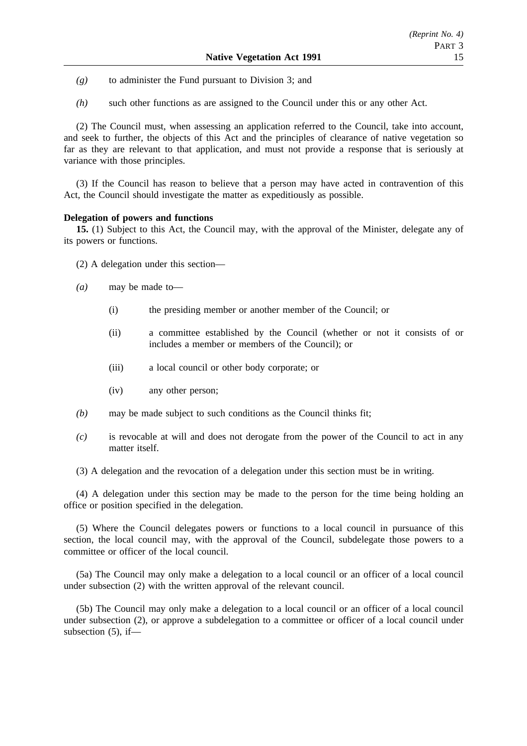- *(g)* to administer the Fund pursuant to Division 3; and
- *(h)* such other functions as are assigned to the Council under this or any other Act.

(2) The Council must, when assessing an application referred to the Council, take into account, and seek to further, the objects of this Act and the principles of clearance of native vegetation so far as they are relevant to that application, and must not provide a response that is seriously at variance with those principles.

(3) If the Council has reason to believe that a person may have acted in contravention of this Act, the Council should investigate the matter as expeditiously as possible.

### **Delegation of powers and functions**

**15.** (1) Subject to this Act, the Council may, with the approval of the Minister, delegate any of its powers or functions.

- (2) A delegation under this section—
- *(a)* may be made to—
	- (i) the presiding member or another member of the Council; or
	- (ii) a committee established by the Council (whether or not it consists of or includes a member or members of the Council); or
	- (iii) a local council or other body corporate; or
	- (iv) any other person;
- *(b)* may be made subject to such conditions as the Council thinks fit;
- *(c)* is revocable at will and does not derogate from the power of the Council to act in any matter itself.

(3) A delegation and the revocation of a delegation under this section must be in writing.

(4) A delegation under this section may be made to the person for the time being holding an office or position specified in the delegation.

(5) Where the Council delegates powers or functions to a local council in pursuance of this section, the local council may, with the approval of the Council, subdelegate those powers to a committee or officer of the local council.

(5a) The Council may only make a delegation to a local council or an officer of a local council under subsection (2) with the written approval of the relevant council.

(5b) The Council may only make a delegation to a local council or an officer of a local council under subsection (2), or approve a subdelegation to a committee or officer of a local council under subsection (5), if—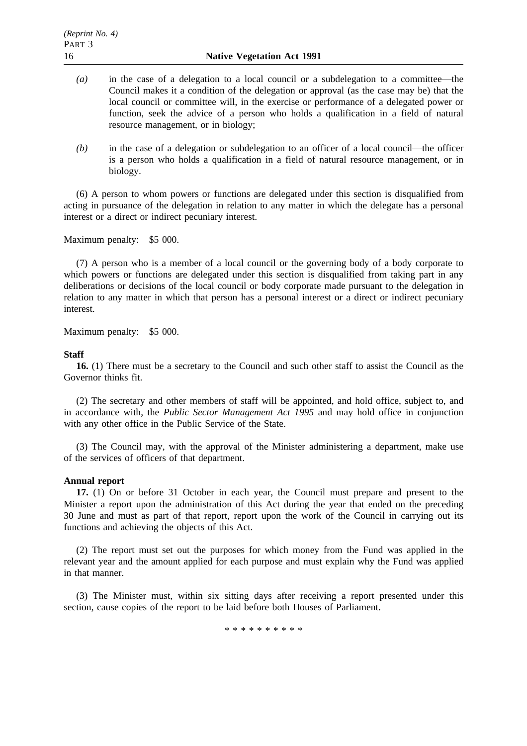- *(a)* in the case of a delegation to a local council or a subdelegation to a committee—the Council makes it a condition of the delegation or approval (as the case may be) that the local council or committee will, in the exercise or performance of a delegated power or function, seek the advice of a person who holds a qualification in a field of natural resource management, or in biology;
- *(b)* in the case of a delegation or subdelegation to an officer of a local council—the officer is a person who holds a qualification in a field of natural resource management, or in biology.

(6) A person to whom powers or functions are delegated under this section is disqualified from acting in pursuance of the delegation in relation to any matter in which the delegate has a personal interest or a direct or indirect pecuniary interest.

Maximum penalty: \$5 000.

(7) A person who is a member of a local council or the governing body of a body corporate to which powers or functions are delegated under this section is disqualified from taking part in any deliberations or decisions of the local council or body corporate made pursuant to the delegation in relation to any matter in which that person has a personal interest or a direct or indirect pecuniary interest.

Maximum penalty: \$5 000.

### **Staff**

**16.** (1) There must be a secretary to the Council and such other staff to assist the Council as the Governor thinks fit.

(2) The secretary and other members of staff will be appointed, and hold office, subject to, and in accordance with, the *Public Sector Management Act 1995* and may hold office in conjunction with any other office in the Public Service of the State.

(3) The Council may, with the approval of the Minister administering a department, make use of the services of officers of that department.

#### **Annual report**

**17.** (1) On or before 31 October in each year, the Council must prepare and present to the Minister a report upon the administration of this Act during the year that ended on the preceding 30 June and must as part of that report, report upon the work of the Council in carrying out its functions and achieving the objects of this Act.

(2) The report must set out the purposes for which money from the Fund was applied in the relevant year and the amount applied for each purpose and must explain why the Fund was applied in that manner.

(3) The Minister must, within six sitting days after receiving a report presented under this section, cause copies of the report to be laid before both Houses of Parliament.

\*\*\*\*\*\*\*\*\*\*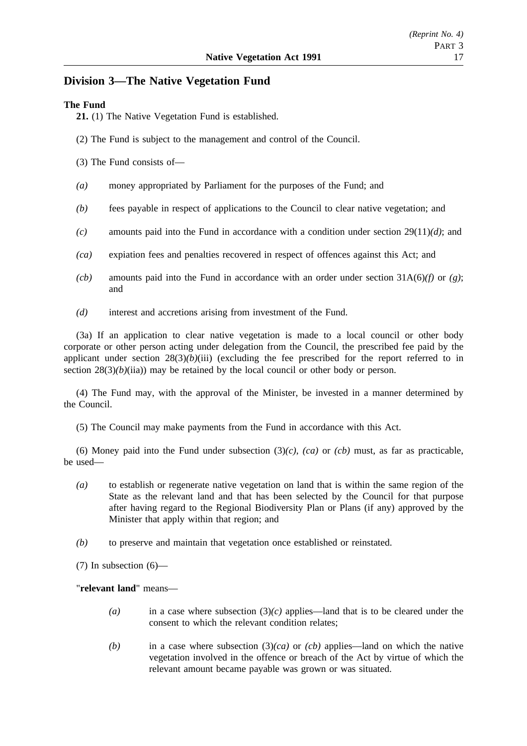## **Division 3—The Native Vegetation Fund**

### **The Fund**

**21.** (1) The Native Vegetation Fund is established.

- (2) The Fund is subject to the management and control of the Council.
- (3) The Fund consists of—
- *(a)* money appropriated by Parliament for the purposes of the Fund; and
- *(b)* fees payable in respect of applications to the Council to clear native vegetation; and
- *(c)* amounts paid into the Fund in accordance with a condition under section 29(11)*(d)*; and
- *(ca)* expiation fees and penalties recovered in respect of offences against this Act; and
- *(cb)* amounts paid into the Fund in accordance with an order under section 31A(6)*(f)* or *(g)*; and
- *(d)* interest and accretions arising from investment of the Fund.

(3a) If an application to clear native vegetation is made to a local council or other body corporate or other person acting under delegation from the Council, the prescribed fee paid by the applicant under section  $28(3)(b)(iii)$  (excluding the fee prescribed for the report referred to in section  $28(3)(b)(ii)$ ) may be retained by the local council or other body or person.

(4) The Fund may, with the approval of the Minister, be invested in a manner determined by the Council.

(5) The Council may make payments from the Fund in accordance with this Act.

(6) Money paid into the Fund under subsection  $(3)(c)$ ,  $(ca)$  or  $(cb)$  must, as far as practicable, be used—

- *(a)* to establish or regenerate native vegetation on land that is within the same region of the State as the relevant land and that has been selected by the Council for that purpose after having regard to the Regional Biodiversity Plan or Plans (if any) approved by the Minister that apply within that region; and
- *(b)* to preserve and maintain that vegetation once established or reinstated.
- (7) In subsection (6)—

"**relevant land**" means—

- *(a)* in a case where subsection (3)*(c)* applies—land that is to be cleared under the consent to which the relevant condition relates;
- *(b)* in a case where subsection  $(3)(ca)$  or  $(cb)$  applies—land on which the native vegetation involved in the offence or breach of the Act by virtue of which the relevant amount became payable was grown or was situated.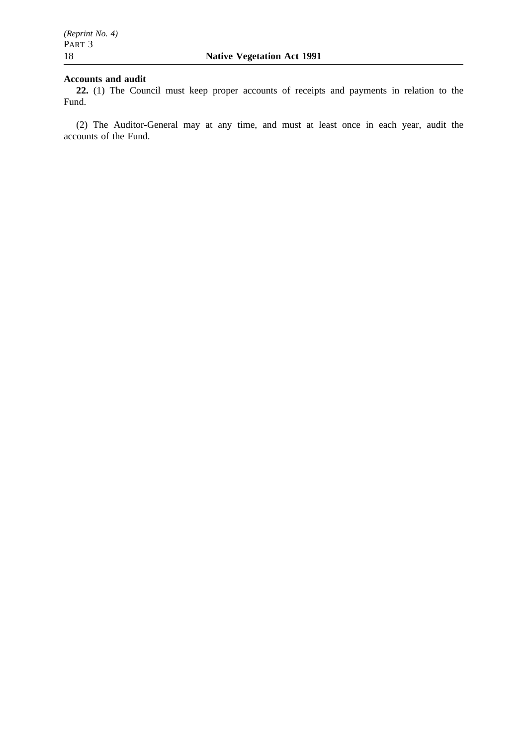### **Accounts and audit**

**22.** (1) The Council must keep proper accounts of receipts and payments in relation to the Fund.

(2) The Auditor-General may at any time, and must at least once in each year, audit the accounts of the Fund.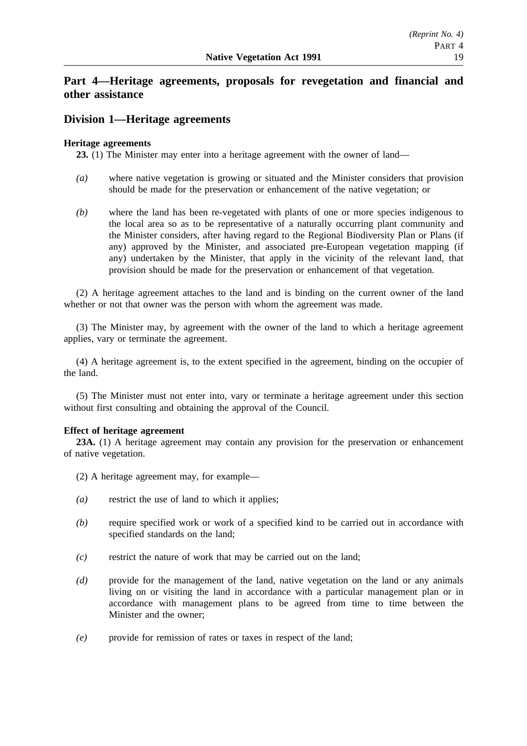## **Part 4—Heritage agreements, proposals for revegetation and financial and other assistance**

## **Division 1—Heritage agreements**

### **Heritage agreements**

**23.** (1) The Minister may enter into a heritage agreement with the owner of land—

- *(a)* where native vegetation is growing or situated and the Minister considers that provision should be made for the preservation or enhancement of the native vegetation; or
- *(b)* where the land has been re-vegetated with plants of one or more species indigenous to the local area so as to be representative of a naturally occurring plant community and the Minister considers, after having regard to the Regional Biodiversity Plan or Plans (if any) approved by the Minister, and associated pre-European vegetation mapping (if any) undertaken by the Minister, that apply in the vicinity of the relevant land, that provision should be made for the preservation or enhancement of that vegetation.

(2) A heritage agreement attaches to the land and is binding on the current owner of the land whether or not that owner was the person with whom the agreement was made.

(3) The Minister may, by agreement with the owner of the land to which a heritage agreement applies, vary or terminate the agreement.

(4) A heritage agreement is, to the extent specified in the agreement, binding on the occupier of the land.

(5) The Minister must not enter into, vary or terminate a heritage agreement under this section without first consulting and obtaining the approval of the Council.

### **Effect of heritage agreement**

**23A.** (1) A heritage agreement may contain any provision for the preservation or enhancement of native vegetation.

- (2) A heritage agreement may, for example—
- *(a)* restrict the use of land to which it applies;
- *(b)* require specified work or work of a specified kind to be carried out in accordance with specified standards on the land;
- *(c)* restrict the nature of work that may be carried out on the land;
- *(d)* provide for the management of the land, native vegetation on the land or any animals living on or visiting the land in accordance with a particular management plan or in accordance with management plans to be agreed from time to time between the Minister and the owner;
- *(e)* provide for remission of rates or taxes in respect of the land;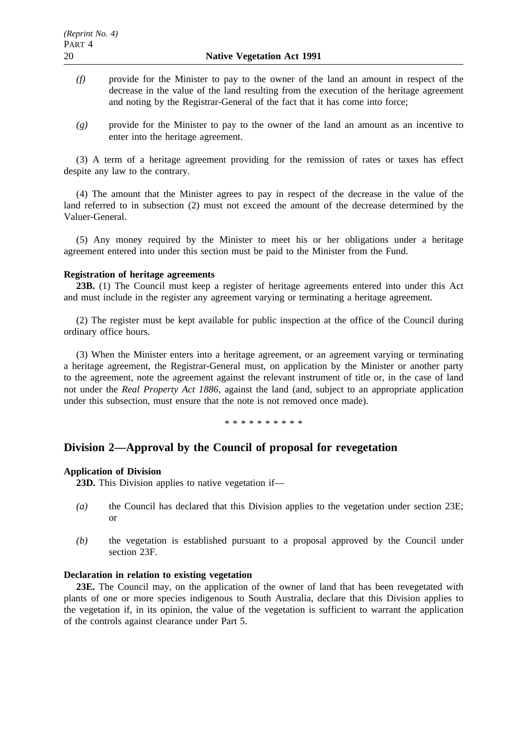- *(f)* provide for the Minister to pay to the owner of the land an amount in respect of the decrease in the value of the land resulting from the execution of the heritage agreement and noting by the Registrar-General of the fact that it has come into force;
- *(g)* provide for the Minister to pay to the owner of the land an amount as an incentive to enter into the heritage agreement.

(3) A term of a heritage agreement providing for the remission of rates or taxes has effect despite any law to the contrary.

(4) The amount that the Minister agrees to pay in respect of the decrease in the value of the land referred to in subsection (2) must not exceed the amount of the decrease determined by the Valuer-General.

(5) Any money required by the Minister to meet his or her obligations under a heritage agreement entered into under this section must be paid to the Minister from the Fund.

#### **Registration of heritage agreements**

**23B.** (1) The Council must keep a register of heritage agreements entered into under this Act and must include in the register any agreement varying or terminating a heritage agreement.

(2) The register must be kept available for public inspection at the office of the Council during ordinary office hours.

(3) When the Minister enters into a heritage agreement, or an agreement varying or terminating a heritage agreement, the Registrar-General must, on application by the Minister or another party to the agreement, note the agreement against the relevant instrument of title or, in the case of land not under the *Real Property Act 1886*, against the land (and, subject to an appropriate application under this subsection, must ensure that the note is not removed once made).

\*\*\*\*\*\*\*\*\*\*

### **Division 2—Approval by the Council of proposal for revegetation**

#### **Application of Division**

**23D.** This Division applies to native vegetation if—

- *(a)* the Council has declared that this Division applies to the vegetation under section 23E; or
- *(b)* the vegetation is established pursuant to a proposal approved by the Council under section 23F.

### **Declaration in relation to existing vegetation**

**23E.** The Council may, on the application of the owner of land that has been revegetated with plants of one or more species indigenous to South Australia, declare that this Division applies to the vegetation if, in its opinion, the value of the vegetation is sufficient to warrant the application of the controls against clearance under Part 5.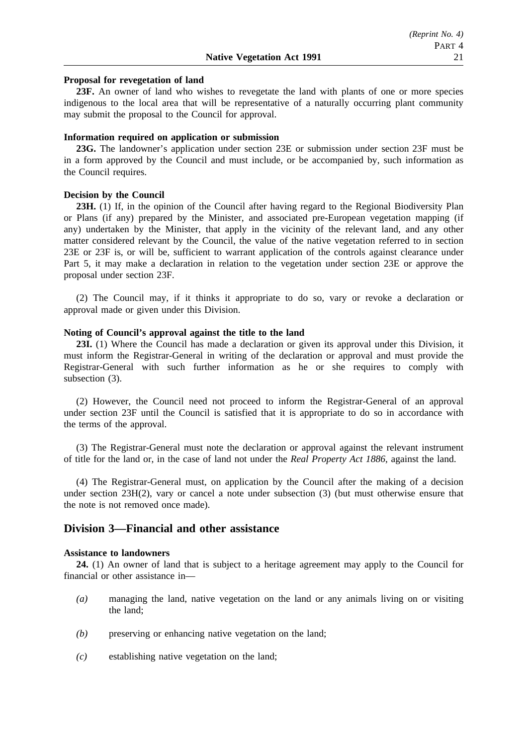#### **Proposal for revegetation of land**

**23F.** An owner of land who wishes to revegetate the land with plants of one or more species indigenous to the local area that will be representative of a naturally occurring plant community may submit the proposal to the Council for approval.

#### **Information required on application or submission**

**23G.** The landowner's application under section 23E or submission under section 23F must be in a form approved by the Council and must include, or be accompanied by, such information as the Council requires.

### **Decision by the Council**

**23H.** (1) If, in the opinion of the Council after having regard to the Regional Biodiversity Plan or Plans (if any) prepared by the Minister, and associated pre-European vegetation mapping (if any) undertaken by the Minister, that apply in the vicinity of the relevant land, and any other matter considered relevant by the Council, the value of the native vegetation referred to in section 23E or 23F is, or will be, sufficient to warrant application of the controls against clearance under Part 5, it may make a declaration in relation to the vegetation under section 23E or approve the proposal under section 23F.

(2) The Council may, if it thinks it appropriate to do so, vary or revoke a declaration or approval made or given under this Division.

#### **Noting of Council's approval against the title to the land**

23I. (1) Where the Council has made a declaration or given its approval under this Division, it must inform the Registrar-General in writing of the declaration or approval and must provide the Registrar-General with such further information as he or she requires to comply with subsection (3).

(2) However, the Council need not proceed to inform the Registrar-General of an approval under section 23F until the Council is satisfied that it is appropriate to do so in accordance with the terms of the approval.

(3) The Registrar-General must note the declaration or approval against the relevant instrument of title for the land or, in the case of land not under the *Real Property Act 1886*, against the land.

(4) The Registrar-General must, on application by the Council after the making of a decision under section 23H(2), vary or cancel a note under subsection (3) (but must otherwise ensure that the note is not removed once made).

### **Division 3—Financial and other assistance**

#### **Assistance to landowners**

**24.** (1) An owner of land that is subject to a heritage agreement may apply to the Council for financial or other assistance in—

- *(a)* managing the land, native vegetation on the land or any animals living on or visiting the land;
- *(b)* preserving or enhancing native vegetation on the land;
- *(c)* establishing native vegetation on the land;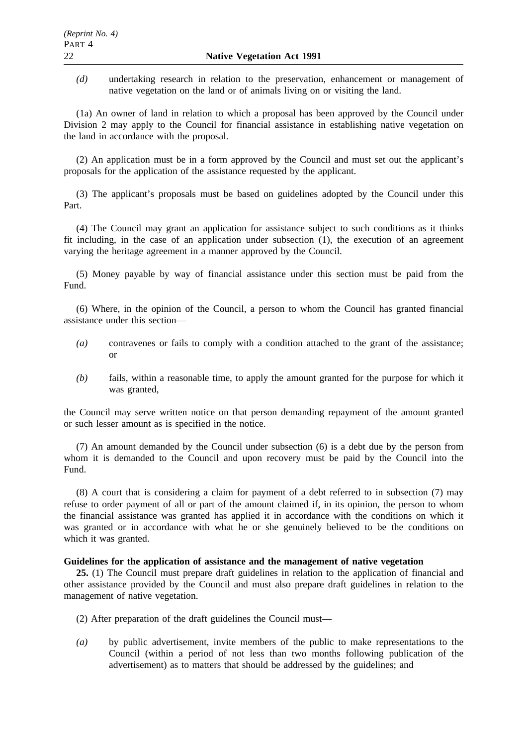*(d)* undertaking research in relation to the preservation, enhancement or management of native vegetation on the land or of animals living on or visiting the land.

(1a) An owner of land in relation to which a proposal has been approved by the Council under Division 2 may apply to the Council for financial assistance in establishing native vegetation on the land in accordance with the proposal.

(2) An application must be in a form approved by the Council and must set out the applicant's proposals for the application of the assistance requested by the applicant.

(3) The applicant's proposals must be based on guidelines adopted by the Council under this Part.

(4) The Council may grant an application for assistance subject to such conditions as it thinks fit including, in the case of an application under subsection (1), the execution of an agreement varying the heritage agreement in a manner approved by the Council.

(5) Money payable by way of financial assistance under this section must be paid from the Fund.

(6) Where, in the opinion of the Council, a person to whom the Council has granted financial assistance under this section—

- *(a)* contravenes or fails to comply with a condition attached to the grant of the assistance; or
- *(b)* fails, within a reasonable time, to apply the amount granted for the purpose for which it was granted,

the Council may serve written notice on that person demanding repayment of the amount granted or such lesser amount as is specified in the notice.

(7) An amount demanded by the Council under subsection (6) is a debt due by the person from whom it is demanded to the Council and upon recovery must be paid by the Council into the Fund.

(8) A court that is considering a claim for payment of a debt referred to in subsection (7) may refuse to order payment of all or part of the amount claimed if, in its opinion, the person to whom the financial assistance was granted has applied it in accordance with the conditions on which it was granted or in accordance with what he or she genuinely believed to be the conditions on which it was granted.

### **Guidelines for the application of assistance and the management of native vegetation**

**25.** (1) The Council must prepare draft guidelines in relation to the application of financial and other assistance provided by the Council and must also prepare draft guidelines in relation to the management of native vegetation.

- (2) After preparation of the draft guidelines the Council must—
- *(a)* by public advertisement, invite members of the public to make representations to the Council (within a period of not less than two months following publication of the advertisement) as to matters that should be addressed by the guidelines; and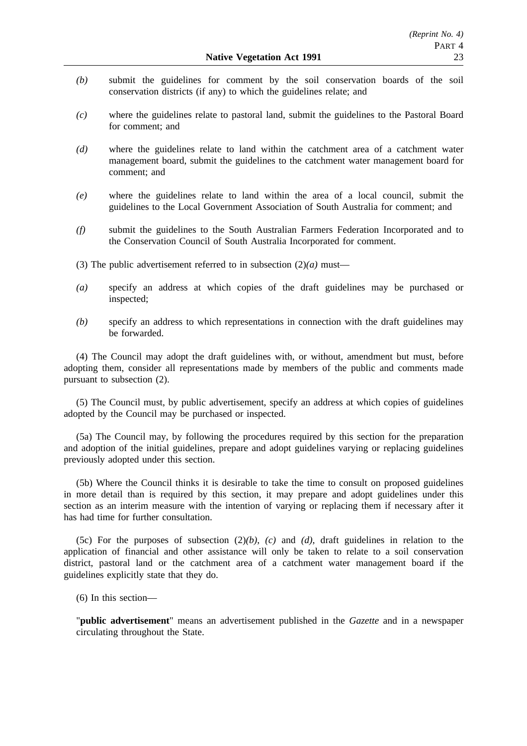- *(b)* submit the guidelines for comment by the soil conservation boards of the soil conservation districts (if any) to which the guidelines relate; and
- *(c)* where the guidelines relate to pastoral land, submit the guidelines to the Pastoral Board for comment; and
- *(d)* where the guidelines relate to land within the catchment area of a catchment water management board, submit the guidelines to the catchment water management board for comment; and
- *(e)* where the guidelines relate to land within the area of a local council, submit the guidelines to the Local Government Association of South Australia for comment; and
- *(f)* submit the guidelines to the South Australian Farmers Federation Incorporated and to the Conservation Council of South Australia Incorporated for comment.
- (3) The public advertisement referred to in subsection  $(2)(a)$  must—
- *(a)* specify an address at which copies of the draft guidelines may be purchased or inspected;
- *(b)* specify an address to which representations in connection with the draft guidelines may be forwarded.

(4) The Council may adopt the draft guidelines with, or without, amendment but must, before adopting them, consider all representations made by members of the public and comments made pursuant to subsection (2).

(5) The Council must, by public advertisement, specify an address at which copies of guidelines adopted by the Council may be purchased or inspected.

(5a) The Council may, by following the procedures required by this section for the preparation and adoption of the initial guidelines, prepare and adopt guidelines varying or replacing guidelines previously adopted under this section.

(5b) Where the Council thinks it is desirable to take the time to consult on proposed guidelines in more detail than is required by this section, it may prepare and adopt guidelines under this section as an interim measure with the intention of varying or replacing them if necessary after it has had time for further consultation.

(5c) For the purposes of subsection (2)*(b)*, *(c)* and *(d)*, draft guidelines in relation to the application of financial and other assistance will only be taken to relate to a soil conservation district, pastoral land or the catchment area of a catchment water management board if the guidelines explicitly state that they do.

(6) In this section—

"**public advertisement**" means an advertisement published in the *Gazette* and in a newspaper circulating throughout the State.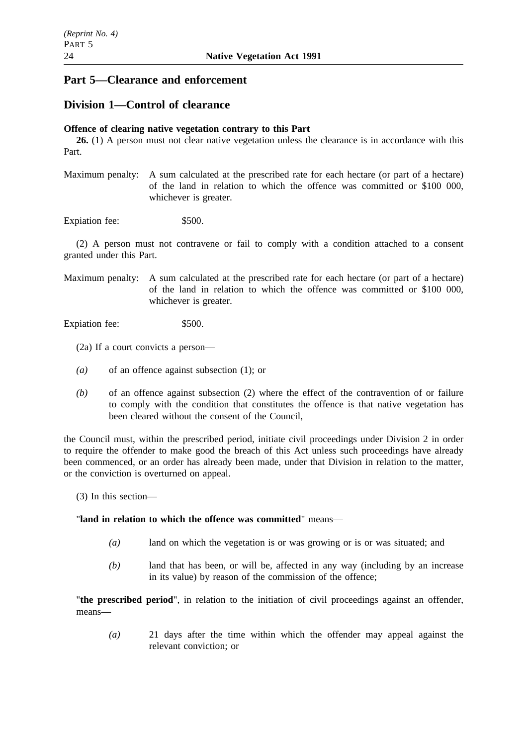## **Part 5—Clearance and enforcement**

## **Division 1—Control of clearance**

### **Offence of clearing native vegetation contrary to this Part**

**26.** (1) A person must not clear native vegetation unless the clearance is in accordance with this Part.

Maximum penalty: A sum calculated at the prescribed rate for each hectare (or part of a hectare) of the land in relation to which the offence was committed or \$100 000, whichever is greater.

Expiation fee: \$500.

(2) A person must not contravene or fail to comply with a condition attached to a consent granted under this Part.

Maximum penalty: A sum calculated at the prescribed rate for each hectare (or part of a hectare) of the land in relation to which the offence was committed or \$100 000, whichever is greater.

Expiation fee: \$500.

(2a) If a court convicts a person—

- *(a)* of an offence against subsection (1); or
- *(b)* of an offence against subsection (2) where the effect of the contravention of or failure to comply with the condition that constitutes the offence is that native vegetation has been cleared without the consent of the Council,

the Council must, within the prescribed period, initiate civil proceedings under Division 2 in order to require the offender to make good the breach of this Act unless such proceedings have already been commenced, or an order has already been made, under that Division in relation to the matter, or the conviction is overturned on appeal.

(3) In this section—

### "**land in relation to which the offence was committed**" means—

- *(a)* land on which the vegetation is or was growing or is or was situated; and
- *(b)* land that has been, or will be, affected in any way (including by an increase in its value) by reason of the commission of the offence;

"**the prescribed period**", in relation to the initiation of civil proceedings against an offender, means—

*(a)* 21 days after the time within which the offender may appeal against the relevant conviction; or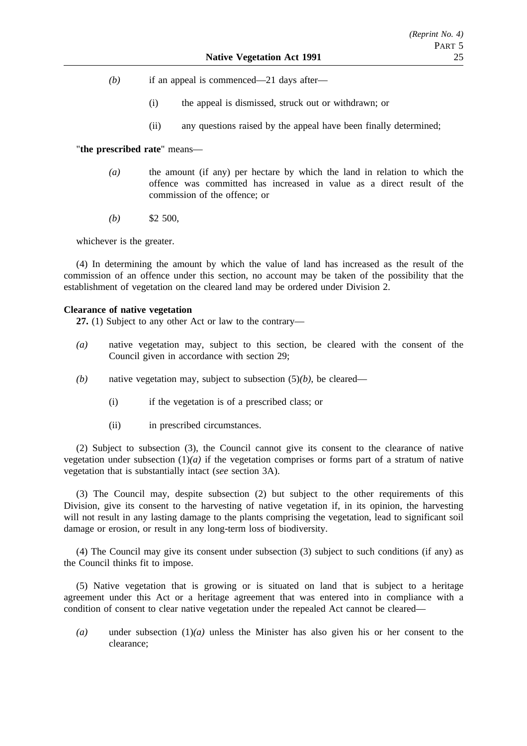- *(b)* if an appeal is commenced—21 days after—
	- (i) the appeal is dismissed, struck out or withdrawn; or
	- (ii) any questions raised by the appeal have been finally determined;

### "**the prescribed rate**" means—

- *(a)* the amount (if any) per hectare by which the land in relation to which the offence was committed has increased in value as a direct result of the commission of the offence; or
- *(b)* \$2 500,

whichever is the greater.

(4) In determining the amount by which the value of land has increased as the result of the commission of an offence under this section, no account may be taken of the possibility that the establishment of vegetation on the cleared land may be ordered under Division 2.

#### **Clearance of native vegetation**

**27.** (1) Subject to any other Act or law to the contrary—

- *(a)* native vegetation may, subject to this section, be cleared with the consent of the Council given in accordance with section 29;
- *(b)* native vegetation may, subject to subsection (5)*(b)*, be cleared—
	- (i) if the vegetation is of a prescribed class; or
	- (ii) in prescribed circumstances.

(2) Subject to subsection (3), the Council cannot give its consent to the clearance of native vegetation under subsection  $(1)(a)$  if the vegetation comprises or forms part of a stratum of native vegetation that is substantially intact (*see* section 3A).

(3) The Council may, despite subsection (2) but subject to the other requirements of this Division, give its consent to the harvesting of native vegetation if, in its opinion, the harvesting will not result in any lasting damage to the plants comprising the vegetation, lead to significant soil damage or erosion, or result in any long-term loss of biodiversity.

(4) The Council may give its consent under subsection (3) subject to such conditions (if any) as the Council thinks fit to impose.

(5) Native vegetation that is growing or is situated on land that is subject to a heritage agreement under this Act or a heritage agreement that was entered into in compliance with a condition of consent to clear native vegetation under the repealed Act cannot be cleared—

*(a)* under subsection (1)*(a)* unless the Minister has also given his or her consent to the clearance;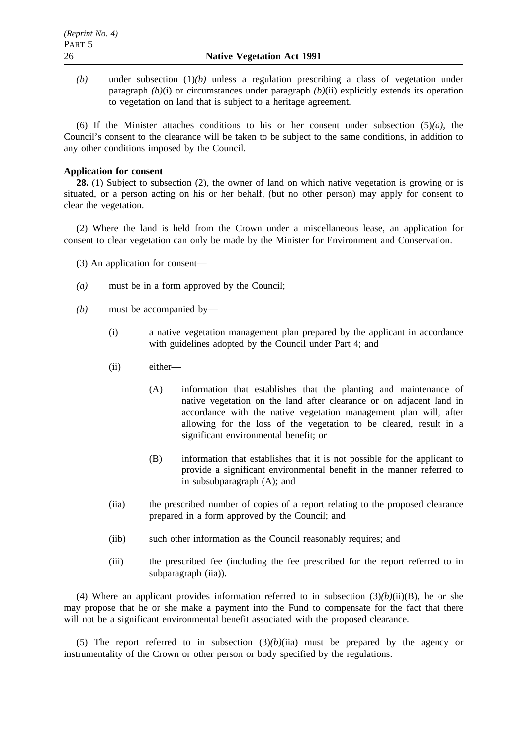$(b)$  under subsection  $(1)(b)$  unless a regulation prescribing a class of vegetation under paragraph *(b)*(i) or circumstances under paragraph *(b)*(ii) explicitly extends its operation to vegetation on land that is subject to a heritage agreement.

(6) If the Minister attaches conditions to his or her consent under subsection  $(5)(a)$ , the Council's consent to the clearance will be taken to be subject to the same conditions, in addition to any other conditions imposed by the Council.

### **Application for consent**

**28.** (1) Subject to subsection (2), the owner of land on which native vegetation is growing or is situated, or a person acting on his or her behalf, (but no other person) may apply for consent to clear the vegetation.

(2) Where the land is held from the Crown under a miscellaneous lease, an application for consent to clear vegetation can only be made by the Minister for Environment and Conservation.

- (3) An application for consent—
- *(a)* must be in a form approved by the Council;
- *(b)* must be accompanied by—
	- (i) a native vegetation management plan prepared by the applicant in accordance with guidelines adopted by the Council under Part 4; and
	- (ii) either—
		- (A) information that establishes that the planting and maintenance of native vegetation on the land after clearance or on adjacent land in accordance with the native vegetation management plan will, after allowing for the loss of the vegetation to be cleared, result in a significant environmental benefit; or
		- (B) information that establishes that it is not possible for the applicant to provide a significant environmental benefit in the manner referred to in subsubparagraph (A); and
	- (iia) the prescribed number of copies of a report relating to the proposed clearance prepared in a form approved by the Council; and
	- (iib) such other information as the Council reasonably requires; and
	- (iii) the prescribed fee (including the fee prescribed for the report referred to in subparagraph (iia)).

(4) Where an applicant provides information referred to in subsection  $(3)(b)(ii)(B)$ , he or she may propose that he or she make a payment into the Fund to compensate for the fact that there will not be a significant environmental benefit associated with the proposed clearance.

(5) The report referred to in subsection  $(3)(b)(ii)$  must be prepared by the agency or instrumentality of the Crown or other person or body specified by the regulations.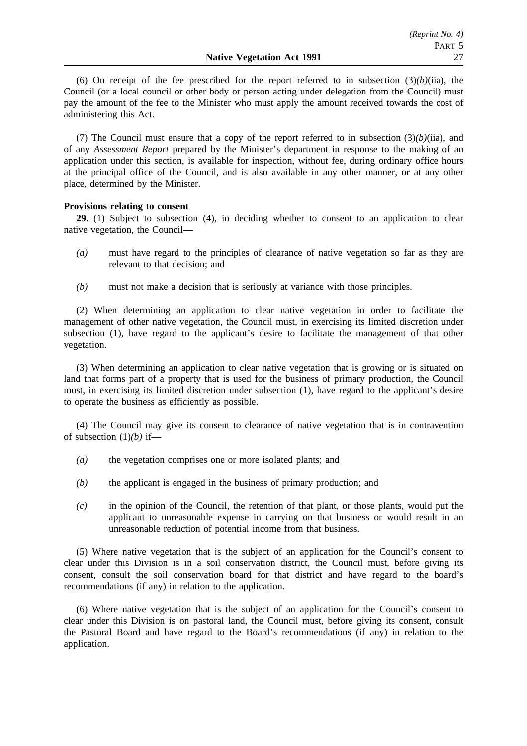(6) On receipt of the fee prescribed for the report referred to in subsection  $(3)(b)(ii)$ , the Council (or a local council or other body or person acting under delegation from the Council) must pay the amount of the fee to the Minister who must apply the amount received towards the cost of administering this Act.

(7) The Council must ensure that a copy of the report referred to in subsection  $(3)(b)(ii)$ , and of any *Assessment Report* prepared by the Minister's department in response to the making of an application under this section, is available for inspection, without fee, during ordinary office hours at the principal office of the Council, and is also available in any other manner, or at any other place, determined by the Minister.

### **Provisions relating to consent**

**29.** (1) Subject to subsection (4), in deciding whether to consent to an application to clear native vegetation, the Council—

- *(a)* must have regard to the principles of clearance of native vegetation so far as they are relevant to that decision; and
- *(b)* must not make a decision that is seriously at variance with those principles.

(2) When determining an application to clear native vegetation in order to facilitate the management of other native vegetation, the Council must, in exercising its limited discretion under subsection (1), have regard to the applicant's desire to facilitate the management of that other vegetation.

(3) When determining an application to clear native vegetation that is growing or is situated on land that forms part of a property that is used for the business of primary production, the Council must, in exercising its limited discretion under subsection (1), have regard to the applicant's desire to operate the business as efficiently as possible.

(4) The Council may give its consent to clearance of native vegetation that is in contravention of subsection (1)*(b)* if—

- *(a)* the vegetation comprises one or more isolated plants; and
- *(b)* the applicant is engaged in the business of primary production; and
- *(c)* in the opinion of the Council, the retention of that plant, or those plants, would put the applicant to unreasonable expense in carrying on that business or would result in an unreasonable reduction of potential income from that business.

(5) Where native vegetation that is the subject of an application for the Council's consent to clear under this Division is in a soil conservation district, the Council must, before giving its consent, consult the soil conservation board for that district and have regard to the board's recommendations (if any) in relation to the application.

(6) Where native vegetation that is the subject of an application for the Council's consent to clear under this Division is on pastoral land, the Council must, before giving its consent, consult the Pastoral Board and have regard to the Board's recommendations (if any) in relation to the application.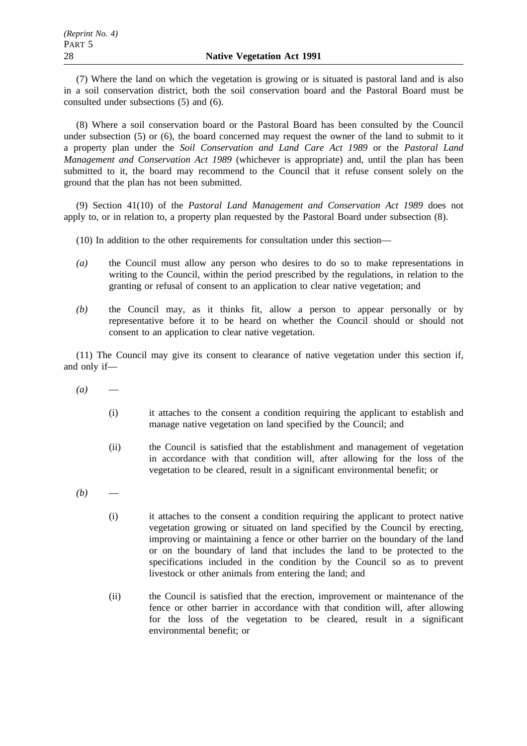(7) Where the land on which the vegetation is growing or is situated is pastoral land and is also in a soil conservation district, both the soil conservation board and the Pastoral Board must be consulted under subsections (5) and (6).

(8) Where a soil conservation board or the Pastoral Board has been consulted by the Council under subsection (5) or (6), the board concerned may request the owner of the land to submit to it a property plan under the *Soil Conservation and Land Care Act 1989* or the *Pastoral Land Management and Conservation Act 1989* (whichever is appropriate) and, until the plan has been submitted to it, the board may recommend to the Council that it refuse consent solely on the ground that the plan has not been submitted.

(9) Section 41(10) of the *Pastoral Land Management and Conservation Act 1989* does not apply to, or in relation to, a property plan requested by the Pastoral Board under subsection (8).

(10) In addition to the other requirements for consultation under this section—

- *(a)* the Council must allow any person who desires to do so to make representations in writing to the Council, within the period prescribed by the regulations, in relation to the granting or refusal of consent to an application to clear native vegetation; and
- *(b)* the Council may, as it thinks fit, allow a person to appear personally or by representative before it to be heard on whether the Council should or should not consent to an application to clear native vegetation.

(11) The Council may give its consent to clearance of native vegetation under this section if, and only if—

- $(a)$ 
	- (i) it attaches to the consent a condition requiring the applicant to establish and manage native vegetation on land specified by the Council; and
	- (ii) the Council is satisfied that the establishment and management of vegetation in accordance with that condition will, after allowing for the loss of the vegetation to be cleared, result in a significant environmental benefit; or
- $(b)$ 
	- (i) it attaches to the consent a condition requiring the applicant to protect native vegetation growing or situated on land specified by the Council by erecting, improving or maintaining a fence or other barrier on the boundary of the land or on the boundary of land that includes the land to be protected to the specifications included in the condition by the Council so as to prevent livestock or other animals from entering the land; and
	- (ii) the Council is satisfied that the erection, improvement or maintenance of the fence or other barrier in accordance with that condition will, after allowing for the loss of the vegetation to be cleared, result in a significant environmental benefit; or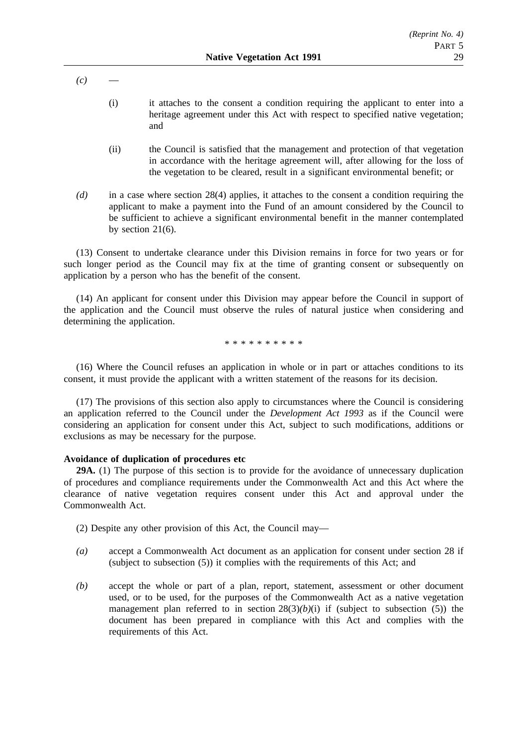$(c)$ 

- (i) it attaches to the consent a condition requiring the applicant to enter into a heritage agreement under this Act with respect to specified native vegetation; and
- (ii) the Council is satisfied that the management and protection of that vegetation in accordance with the heritage agreement will, after allowing for the loss of the vegetation to be cleared, result in a significant environmental benefit; or
- *(d)* in a case where section 28(4) applies, it attaches to the consent a condition requiring the applicant to make a payment into the Fund of an amount considered by the Council to be sufficient to achieve a significant environmental benefit in the manner contemplated by section 21(6).

(13) Consent to undertake clearance under this Division remains in force for two years or for such longer period as the Council may fix at the time of granting consent or subsequently on application by a person who has the benefit of the consent.

(14) An applicant for consent under this Division may appear before the Council in support of the application and the Council must observe the rules of natural justice when considering and determining the application.

\*\*\*\*\*\*\*\*\*\*

(16) Where the Council refuses an application in whole or in part or attaches conditions to its consent, it must provide the applicant with a written statement of the reasons for its decision.

(17) The provisions of this section also apply to circumstances where the Council is considering an application referred to the Council under the *Development Act 1993* as if the Council were considering an application for consent under this Act, subject to such modifications, additions or exclusions as may be necessary for the purpose.

### **Avoidance of duplication of procedures etc**

**29A.** (1) The purpose of this section is to provide for the avoidance of unnecessary duplication of procedures and compliance requirements under the Commonwealth Act and this Act where the clearance of native vegetation requires consent under this Act and approval under the Commonwealth Act.

(2) Despite any other provision of this Act, the Council may—

- *(a)* accept a Commonwealth Act document as an application for consent under section 28 if (subject to subsection (5)) it complies with the requirements of this Act; and
- *(b)* accept the whole or part of a plan, report, statement, assessment or other document used, or to be used, for the purposes of the Commonwealth Act as a native vegetation management plan referred to in section  $28(3)(b)(i)$  if (subject to subsection (5)) the document has been prepared in compliance with this Act and complies with the requirements of this Act.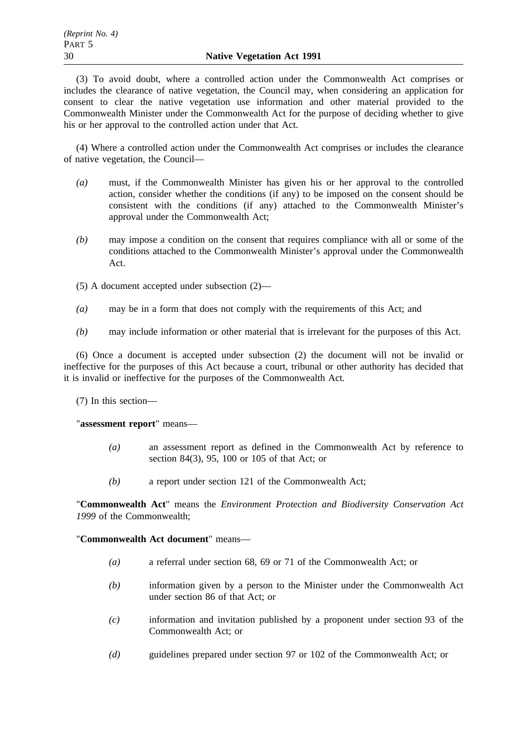(3) To avoid doubt, where a controlled action under the Commonwealth Act comprises or includes the clearance of native vegetation, the Council may, when considering an application for consent to clear the native vegetation use information and other material provided to the Commonwealth Minister under the Commonwealth Act for the purpose of deciding whether to give his or her approval to the controlled action under that Act.

(4) Where a controlled action under the Commonwealth Act comprises or includes the clearance of native vegetation, the Council—

- *(a)* must, if the Commonwealth Minister has given his or her approval to the controlled action, consider whether the conditions (if any) to be imposed on the consent should be consistent with the conditions (if any) attached to the Commonwealth Minister's approval under the Commonwealth Act;
- *(b)* may impose a condition on the consent that requires compliance with all or some of the conditions attached to the Commonwealth Minister's approval under the Commonwealth Act.
- (5) A document accepted under subsection (2)—
- *(a)* may be in a form that does not comply with the requirements of this Act; and
- *(b)* may include information or other material that is irrelevant for the purposes of this Act.

(6) Once a document is accepted under subsection (2) the document will not be invalid or ineffective for the purposes of this Act because a court, tribunal or other authority has decided that it is invalid or ineffective for the purposes of the Commonwealth Act.

(7) In this section—

"**assessment report**" means—

- *(a)* an assessment report as defined in the Commonwealth Act by reference to section 84(3), 95, 100 or 105 of that Act; or
- *(b)* a report under section 121 of the Commonwealth Act;

"**Commonwealth Act**" means the *Environment Protection and Biodiversity Conservation Act 1999* of the Commonwealth;

"**Commonwealth Act document**" means—

- *(a)* a referral under section 68, 69 or 71 of the Commonwealth Act; or
- *(b)* information given by a person to the Minister under the Commonwealth Act under section 86 of that Act; or
- *(c)* information and invitation published by a proponent under section 93 of the Commonwealth Act; or
- *(d)* guidelines prepared under section 97 or 102 of the Commonwealth Act; or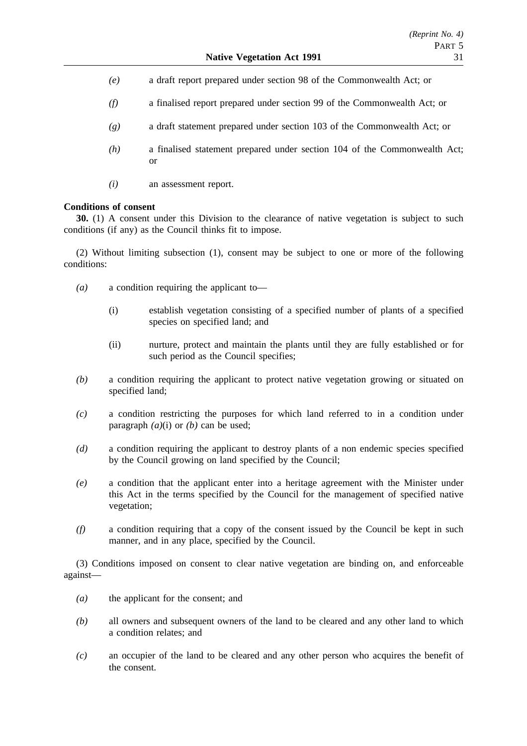- *(e)* a draft report prepared under section 98 of the Commonwealth Act; or
- *(f)* a finalised report prepared under section 99 of the Commonwealth Act; or
- *(g)* a draft statement prepared under section 103 of the Commonwealth Act; or
- *(h)* a finalised statement prepared under section 104 of the Commonwealth Act; or
- *(i)* an assessment report.

### **Conditions of consent**

**30.** (1) A consent under this Division to the clearance of native vegetation is subject to such conditions (if any) as the Council thinks fit to impose.

(2) Without limiting subsection (1), consent may be subject to one or more of the following conditions:

- *(a)* a condition requiring the applicant to—
	- (i) establish vegetation consisting of a specified number of plants of a specified species on specified land; and
	- (ii) nurture, protect and maintain the plants until they are fully established or for such period as the Council specifies;
- *(b)* a condition requiring the applicant to protect native vegetation growing or situated on specified land;
- *(c)* a condition restricting the purposes for which land referred to in a condition under paragraph *(a)*(i) or *(b)* can be used;
- (d) a condition requiring the applicant to destroy plants of a non endemic species specified by the Council growing on land specified by the Council;
- *(e)* a condition that the applicant enter into a heritage agreement with the Minister under this Act in the terms specified by the Council for the management of specified native vegetation;
- *(f)* a condition requiring that a copy of the consent issued by the Council be kept in such manner, and in any place, specified by the Council.

(3) Conditions imposed on consent to clear native vegetation are binding on, and enforceable against—

- *(a)* the applicant for the consent; and
- *(b)* all owners and subsequent owners of the land to be cleared and any other land to which a condition relates; and
- *(c)* an occupier of the land to be cleared and any other person who acquires the benefit of the consent.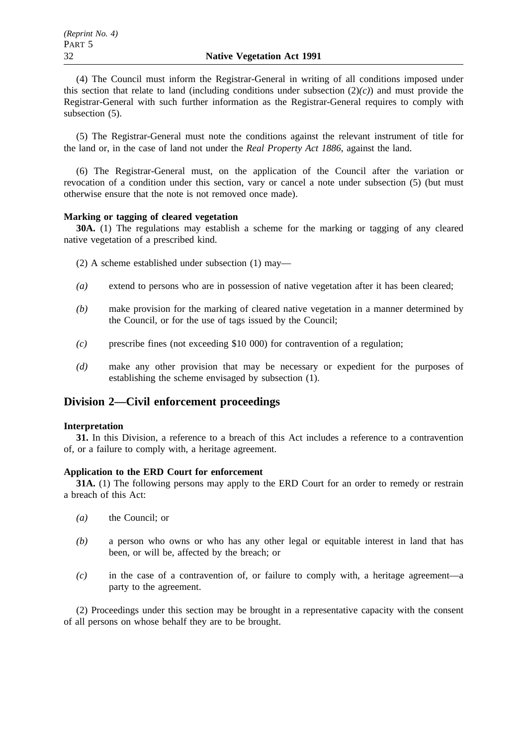(4) The Council must inform the Registrar-General in writing of all conditions imposed under this section that relate to land (including conditions under subsection (2)*(c)*) and must provide the Registrar-General with such further information as the Registrar-General requires to comply with subsection (5).

(5) The Registrar-General must note the conditions against the relevant instrument of title for the land or, in the case of land not under the *Real Property Act 1886*, against the land.

(6) The Registrar-General must, on the application of the Council after the variation or revocation of a condition under this section, vary or cancel a note under subsection (5) (but must otherwise ensure that the note is not removed once made).

### **Marking or tagging of cleared vegetation**

**30A.** (1) The regulations may establish a scheme for the marking or tagging of any cleared native vegetation of a prescribed kind.

- (2) A scheme established under subsection (1) may—
- *(a)* extend to persons who are in possession of native vegetation after it has been cleared;
- *(b)* make provision for the marking of cleared native vegetation in a manner determined by the Council, or for the use of tags issued by the Council;
- *(c)* prescribe fines (not exceeding \$10 000) for contravention of a regulation;
- *(d)* make any other provision that may be necessary or expedient for the purposes of establishing the scheme envisaged by subsection (1).

## **Division 2—Civil enforcement proceedings**

#### **Interpretation**

**31.** In this Division, a reference to a breach of this Act includes a reference to a contravention of, or a failure to comply with, a heritage agreement.

#### **Application to the ERD Court for enforcement**

**31A.** (1) The following persons may apply to the ERD Court for an order to remedy or restrain a breach of this Act:

- *(a)* the Council; or
- *(b)* a person who owns or who has any other legal or equitable interest in land that has been, or will be, affected by the breach; or
- *(c)* in the case of a contravention of, or failure to comply with, a heritage agreement—a party to the agreement.

(2) Proceedings under this section may be brought in a representative capacity with the consent of all persons on whose behalf they are to be brought.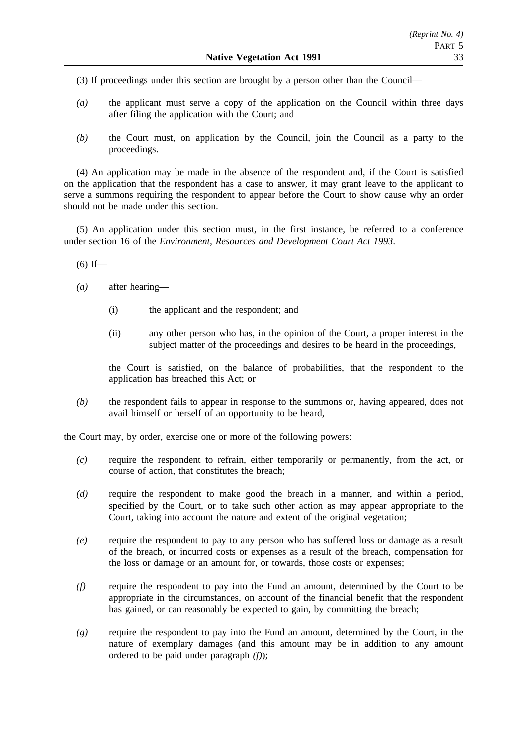(3) If proceedings under this section are brought by a person other than the Council—

- *(a)* the applicant must serve a copy of the application on the Council within three days after filing the application with the Court; and
- *(b)* the Court must, on application by the Council, join the Council as a party to the proceedings.

(4) An application may be made in the absence of the respondent and, if the Court is satisfied on the application that the respondent has a case to answer, it may grant leave to the applicant to serve a summons requiring the respondent to appear before the Court to show cause why an order should not be made under this section.

(5) An application under this section must, in the first instance, be referred to a conference under section 16 of the *Environment, Resources and Development Court Act 1993*.

 $(6)$  If—

- *(a)* after hearing—
	- (i) the applicant and the respondent; and
	- (ii) any other person who has, in the opinion of the Court, a proper interest in the subject matter of the proceedings and desires to be heard in the proceedings,

the Court is satisfied, on the balance of probabilities, that the respondent to the application has breached this Act; or

*(b)* the respondent fails to appear in response to the summons or, having appeared, does not avail himself or herself of an opportunity to be heard,

the Court may, by order, exercise one or more of the following powers:

- *(c)* require the respondent to refrain, either temporarily or permanently, from the act, or course of action, that constitutes the breach;
- *(d)* require the respondent to make good the breach in a manner, and within a period, specified by the Court, or to take such other action as may appear appropriate to the Court, taking into account the nature and extent of the original vegetation;
- *(e)* require the respondent to pay to any person who has suffered loss or damage as a result of the breach, or incurred costs or expenses as a result of the breach, compensation for the loss or damage or an amount for, or towards, those costs or expenses;
- *(f)* require the respondent to pay into the Fund an amount, determined by the Court to be appropriate in the circumstances, on account of the financial benefit that the respondent has gained, or can reasonably be expected to gain, by committing the breach;
- *(g)* require the respondent to pay into the Fund an amount, determined by the Court, in the nature of exemplary damages (and this amount may be in addition to any amount ordered to be paid under paragraph *(f)*);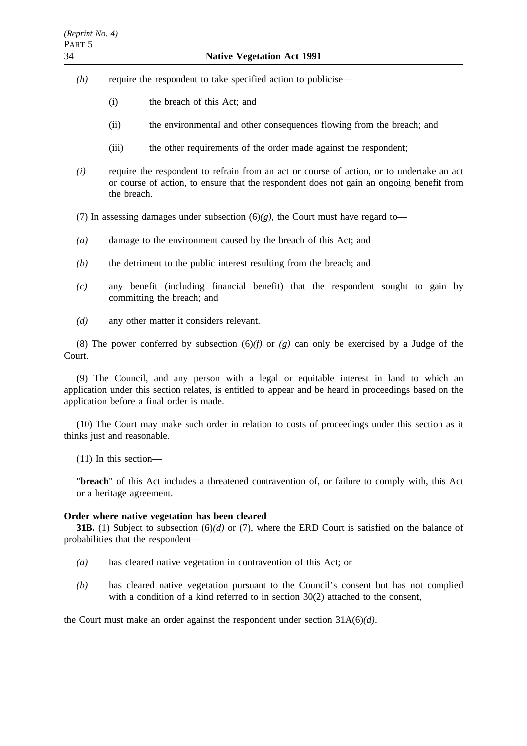- *(h)* require the respondent to take specified action to publicise—
	- (i) the breach of this Act; and
	- (ii) the environmental and other consequences flowing from the breach; and
	- (iii) the other requirements of the order made against the respondent;
- *(i)* require the respondent to refrain from an act or course of action, or to undertake an act or course of action, to ensure that the respondent does not gain an ongoing benefit from the breach.
- (7) In assessing damages under subsection  $(6)(g)$ , the Court must have regard to-
- *(a)* damage to the environment caused by the breach of this Act; and
- *(b)* the detriment to the public interest resulting from the breach; and
- *(c)* any benefit (including financial benefit) that the respondent sought to gain by committing the breach; and
- *(d)* any other matter it considers relevant.

(8) The power conferred by subsection (6)*(f)* or *(g)* can only be exercised by a Judge of the Court.

(9) The Council, and any person with a legal or equitable interest in land to which an application under this section relates, is entitled to appear and be heard in proceedings based on the application before a final order is made.

(10) The Court may make such order in relation to costs of proceedings under this section as it thinks just and reasonable.

(11) In this section—

"**breach**" of this Act includes a threatened contravention of, or failure to comply with, this Act or a heritage agreement.

#### **Order where native vegetation has been cleared**

**31B.** (1) Subject to subsection (6)*(d)* or (7), where the ERD Court is satisfied on the balance of probabilities that the respondent—

- *(a)* has cleared native vegetation in contravention of this Act; or
- *(b)* has cleared native vegetation pursuant to the Council's consent but has not complied with a condition of a kind referred to in section 30(2) attached to the consent,

the Court must make an order against the respondent under section 31A(6)*(d)*.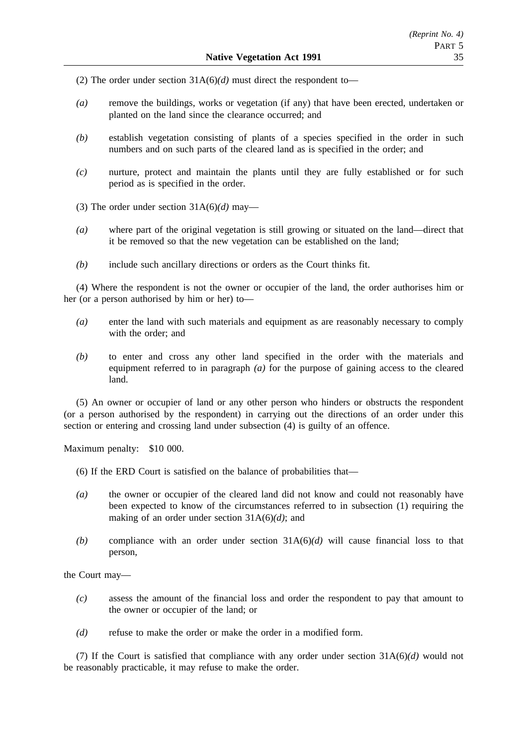(2) The order under section 31A(6)*(d)* must direct the respondent to—

- *(a)* remove the buildings, works or vegetation (if any) that have been erected, undertaken or planted on the land since the clearance occurred; and
- *(b)* establish vegetation consisting of plants of a species specified in the order in such numbers and on such parts of the cleared land as is specified in the order; and
- *(c)* nurture, protect and maintain the plants until they are fully established or for such period as is specified in the order.
- (3) The order under section 31A(6)*(d)* may—
- *(a)* where part of the original vegetation is still growing or situated on the land—direct that it be removed so that the new vegetation can be established on the land;
- *(b)* include such ancillary directions or orders as the Court thinks fit.

(4) Where the respondent is not the owner or occupier of the land, the order authorises him or her (or a person authorised by him or her) to—

- *(a)* enter the land with such materials and equipment as are reasonably necessary to comply with the order; and
- *(b)* to enter and cross any other land specified in the order with the materials and equipment referred to in paragraph *(a)* for the purpose of gaining access to the cleared land.

(5) An owner or occupier of land or any other person who hinders or obstructs the respondent (or a person authorised by the respondent) in carrying out the directions of an order under this section or entering and crossing land under subsection (4) is guilty of an offence.

Maximum penalty: \$10 000.

- (6) If the ERD Court is satisfied on the balance of probabilities that—
- *(a)* the owner or occupier of the cleared land did not know and could not reasonably have been expected to know of the circumstances referred to in subsection (1) requiring the making of an order under section 31A(6)*(d)*; and
- *(b)* compliance with an order under section 31A(6)*(d)* will cause financial loss to that person,

the Court may—

- *(c)* assess the amount of the financial loss and order the respondent to pay that amount to the owner or occupier of the land; or
- *(d)* refuse to make the order or make the order in a modified form.

(7) If the Court is satisfied that compliance with any order under section 31A(6)*(d)* would not be reasonably practicable, it may refuse to make the order.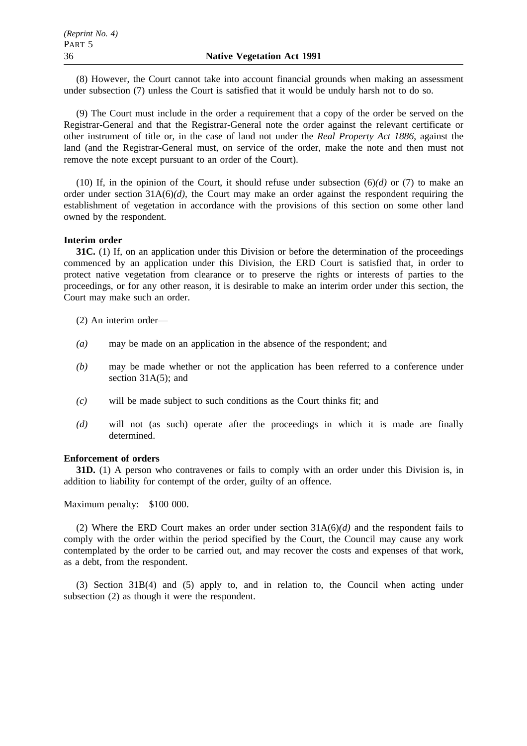(8) However, the Court cannot take into account financial grounds when making an assessment under subsection (7) unless the Court is satisfied that it would be unduly harsh not to do so.

(9) The Court must include in the order a requirement that a copy of the order be served on the Registrar-General and that the Registrar-General note the order against the relevant certificate or other instrument of title or, in the case of land not under the *Real Property Act 1886*, against the land (and the Registrar-General must, on service of the order, make the note and then must not remove the note except pursuant to an order of the Court).

(10) If, in the opinion of the Court, it should refuse under subsection  $(6)(d)$  or (7) to make an order under section  $31A(6)/d$ , the Court may make an order against the respondent requiring the establishment of vegetation in accordance with the provisions of this section on some other land owned by the respondent.

#### **Interim order**

**31C.** (1) If, on an application under this Division or before the determination of the proceedings commenced by an application under this Division, the ERD Court is satisfied that, in order to protect native vegetation from clearance or to preserve the rights or interests of parties to the proceedings, or for any other reason, it is desirable to make an interim order under this section, the Court may make such an order.

(2) An interim order—

- *(a)* may be made on an application in the absence of the respondent; and
- *(b)* may be made whether or not the application has been referred to a conference under section 31A(5); and
- *(c)* will be made subject to such conditions as the Court thinks fit; and
- *(d)* will not (as such) operate after the proceedings in which it is made are finally determined.

#### **Enforcement of orders**

**31D.** (1) A person who contravenes or fails to comply with an order under this Division is, in addition to liability for contempt of the order, guilty of an offence.

Maximum penalty: \$100 000.

(2) Where the ERD Court makes an order under section 31A(6)*(d)* and the respondent fails to comply with the order within the period specified by the Court, the Council may cause any work contemplated by the order to be carried out, and may recover the costs and expenses of that work, as a debt, from the respondent.

(3) Section 31B(4) and (5) apply to, and in relation to, the Council when acting under subsection (2) as though it were the respondent.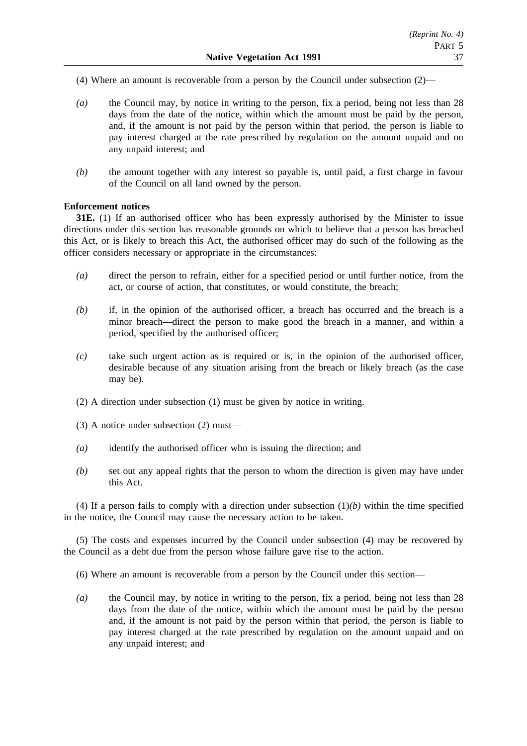- (4) Where an amount is recoverable from a person by the Council under subsection (2)—
- *(a)* the Council may, by notice in writing to the person, fix a period, being not less than 28 days from the date of the notice, within which the amount must be paid by the person, and, if the amount is not paid by the person within that period, the person is liable to pay interest charged at the rate prescribed by regulation on the amount unpaid and on any unpaid interest; and
- *(b)* the amount together with any interest so payable is, until paid, a first charge in favour of the Council on all land owned by the person.

### **Enforcement notices**

**31E.** (1) If an authorised officer who has been expressly authorised by the Minister to issue directions under this section has reasonable grounds on which to believe that a person has breached this Act, or is likely to breach this Act, the authorised officer may do such of the following as the officer considers necessary or appropriate in the circumstances:

- *(a)* direct the person to refrain, either for a specified period or until further notice, from the act, or course of action, that constitutes, or would constitute, the breach;
- *(b)* if, in the opinion of the authorised officer, a breach has occurred and the breach is a minor breach—direct the person to make good the breach in a manner, and within a period, specified by the authorised officer;
- *(c)* take such urgent action as is required or is, in the opinion of the authorised officer, desirable because of any situation arising from the breach or likely breach (as the case may be).
- (2) A direction under subsection (1) must be given by notice in writing.
- (3) A notice under subsection (2) must—
- *(a)* identify the authorised officer who is issuing the direction; and
- *(b)* set out any appeal rights that the person to whom the direction is given may have under this Act.

(4) If a person fails to comply with a direction under subsection  $(1)(b)$  within the time specified in the notice, the Council may cause the necessary action to be taken.

(5) The costs and expenses incurred by the Council under subsection (4) may be recovered by the Council as a debt due from the person whose failure gave rise to the action.

- (6) Where an amount is recoverable from a person by the Council under this section—
- *(a)* the Council may, by notice in writing to the person, fix a period, being not less than 28 days from the date of the notice, within which the amount must be paid by the person and, if the amount is not paid by the person within that period, the person is liable to pay interest charged at the rate prescribed by regulation on the amount unpaid and on any unpaid interest; and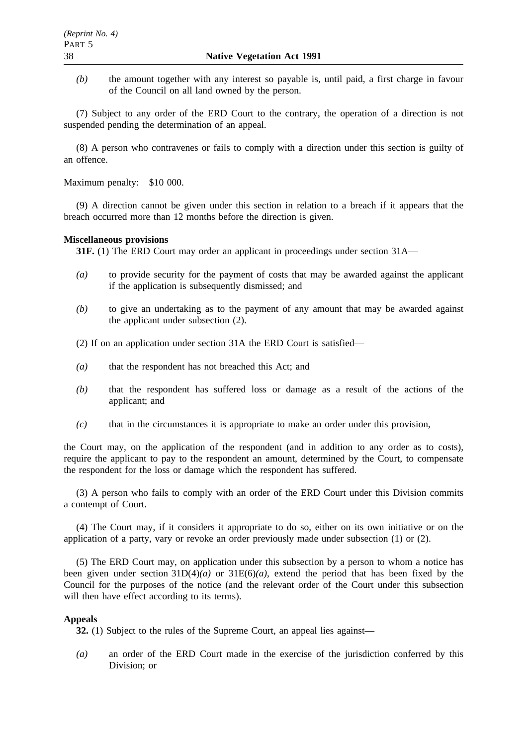*(b)* the amount together with any interest so payable is, until paid, a first charge in favour of the Council on all land owned by the person.

(7) Subject to any order of the ERD Court to the contrary, the operation of a direction is not suspended pending the determination of an appeal.

(8) A person who contravenes or fails to comply with a direction under this section is guilty of an offence.

Maximum penalty: \$10 000.

(9) A direction cannot be given under this section in relation to a breach if it appears that the breach occurred more than 12 months before the direction is given.

#### **Miscellaneous provisions**

**31F.** (1) The ERD Court may order an applicant in proceedings under section 31A—

- *(a)* to provide security for the payment of costs that may be awarded against the applicant if the application is subsequently dismissed; and
- *(b)* to give an undertaking as to the payment of any amount that may be awarded against the applicant under subsection (2).

(2) If on an application under section 31A the ERD Court is satisfied—

- *(a)* that the respondent has not breached this Act; and
- *(b)* that the respondent has suffered loss or damage as a result of the actions of the applicant; and
- *(c)* that in the circumstances it is appropriate to make an order under this provision,

the Court may, on the application of the respondent (and in addition to any order as to costs), require the applicant to pay to the respondent an amount, determined by the Court, to compensate the respondent for the loss or damage which the respondent has suffered.

(3) A person who fails to comply with an order of the ERD Court under this Division commits a contempt of Court.

(4) The Court may, if it considers it appropriate to do so, either on its own initiative or on the application of a party, vary or revoke an order previously made under subsection (1) or (2).

(5) The ERD Court may, on application under this subsection by a person to whom a notice has been given under section 31D(4)*(a)* or 31E(6)*(a)*, extend the period that has been fixed by the Council for the purposes of the notice (and the relevant order of the Court under this subsection will then have effect according to its terms).

#### **Appeals**

**32.** (1) Subject to the rules of the Supreme Court, an appeal lies against—

*(a)* an order of the ERD Court made in the exercise of the jurisdiction conferred by this Division; or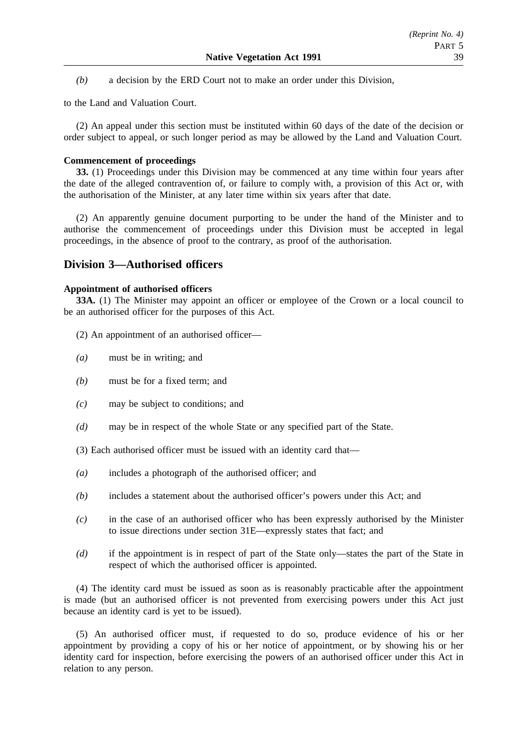*(b)* a decision by the ERD Court not to make an order under this Division,

to the Land and Valuation Court.

(2) An appeal under this section must be instituted within 60 days of the date of the decision or order subject to appeal, or such longer period as may be allowed by the Land and Valuation Court.

### **Commencement of proceedings**

**33.** (1) Proceedings under this Division may be commenced at any time within four years after the date of the alleged contravention of, or failure to comply with, a provision of this Act or, with the authorisation of the Minister, at any later time within six years after that date.

(2) An apparently genuine document purporting to be under the hand of the Minister and to authorise the commencement of proceedings under this Division must be accepted in legal proceedings, in the absence of proof to the contrary, as proof of the authorisation.

## **Division 3—Authorised officers**

### **Appointment of authorised officers**

**33A.** (1) The Minister may appoint an officer or employee of the Crown or a local council to be an authorised officer for the purposes of this Act.

- (2) An appointment of an authorised officer—
- *(a)* must be in writing; and
- *(b)* must be for a fixed term; and
- *(c)* may be subject to conditions; and
- *(d)* may be in respect of the whole State or any specified part of the State.

(3) Each authorised officer must be issued with an identity card that—

- *(a)* includes a photograph of the authorised officer; and
- *(b)* includes a statement about the authorised officer's powers under this Act; and
- *(c)* in the case of an authorised officer who has been expressly authorised by the Minister to issue directions under section 31E—expressly states that fact; and
- *(d)* if the appointment is in respect of part of the State only—states the part of the State in respect of which the authorised officer is appointed.

(4) The identity card must be issued as soon as is reasonably practicable after the appointment is made (but an authorised officer is not prevented from exercising powers under this Act just because an identity card is yet to be issued).

(5) An authorised officer must, if requested to do so, produce evidence of his or her appointment by providing a copy of his or her notice of appointment, or by showing his or her identity card for inspection, before exercising the powers of an authorised officer under this Act in relation to any person.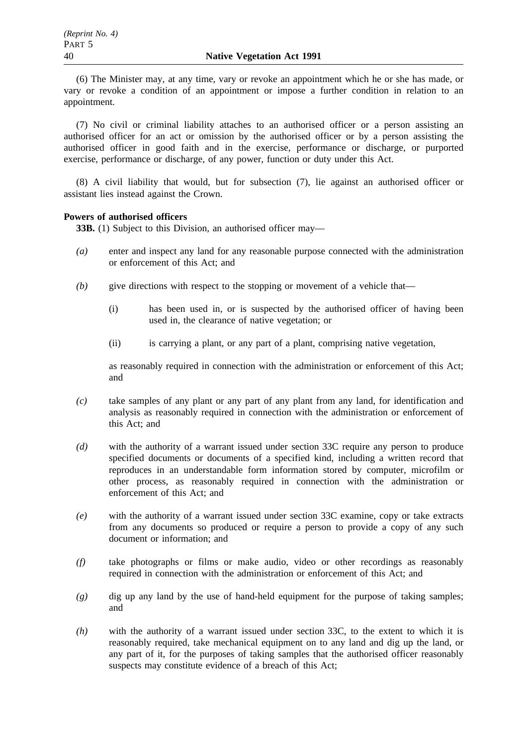(6) The Minister may, at any time, vary or revoke an appointment which he or she has made, or vary or revoke a condition of an appointment or impose a further condition in relation to an appointment.

(7) No civil or criminal liability attaches to an authorised officer or a person assisting an authorised officer for an act or omission by the authorised officer or by a person assisting the authorised officer in good faith and in the exercise, performance or discharge, or purported exercise, performance or discharge, of any power, function or duty under this Act.

(8) A civil liability that would, but for subsection (7), lie against an authorised officer or assistant lies instead against the Crown.

### **Powers of authorised officers**

**33B.** (1) Subject to this Division, an authorised officer may—

- *(a)* enter and inspect any land for any reasonable purpose connected with the administration or enforcement of this Act; and
- *(b)* give directions with respect to the stopping or movement of a vehicle that—
	- (i) has been used in, or is suspected by the authorised officer of having been used in, the clearance of native vegetation; or
	- (ii) is carrying a plant, or any part of a plant, comprising native vegetation,

as reasonably required in connection with the administration or enforcement of this Act; and

- *(c)* take samples of any plant or any part of any plant from any land, for identification and analysis as reasonably required in connection with the administration or enforcement of this Act; and
- *(d)* with the authority of a warrant issued under section 33C require any person to produce specified documents or documents of a specified kind, including a written record that reproduces in an understandable form information stored by computer, microfilm or other process, as reasonably required in connection with the administration or enforcement of this Act; and
- *(e)* with the authority of a warrant issued under section 33C examine, copy or take extracts from any documents so produced or require a person to provide a copy of any such document or information; and
- *(f)* take photographs or films or make audio, video or other recordings as reasonably required in connection with the administration or enforcement of this Act; and
- *(g)* dig up any land by the use of hand-held equipment for the purpose of taking samples; and
- *(h)* with the authority of a warrant issued under section 33C, to the extent to which it is reasonably required, take mechanical equipment on to any land and dig up the land, or any part of it, for the purposes of taking samples that the authorised officer reasonably suspects may constitute evidence of a breach of this Act;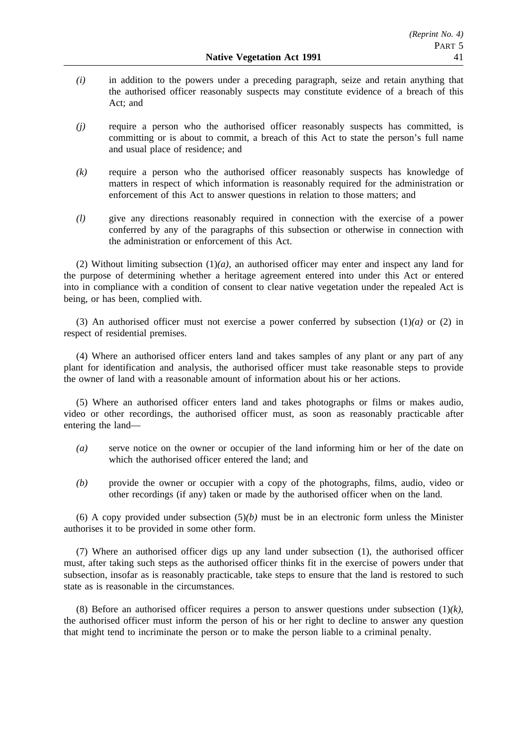- *(i)* in addition to the powers under a preceding paragraph, seize and retain anything that the authorised officer reasonably suspects may constitute evidence of a breach of this Act; and
- *(j)* require a person who the authorised officer reasonably suspects has committed, is committing or is about to commit, a breach of this Act to state the person's full name and usual place of residence; and
- *(k)* require a person who the authorised officer reasonably suspects has knowledge of matters in respect of which information is reasonably required for the administration or enforcement of this Act to answer questions in relation to those matters; and
- *(l)* give any directions reasonably required in connection with the exercise of a power conferred by any of the paragraphs of this subsection or otherwise in connection with the administration or enforcement of this Act.

(2) Without limiting subsection (1)*(a)*, an authorised officer may enter and inspect any land for the purpose of determining whether a heritage agreement entered into under this Act or entered into in compliance with a condition of consent to clear native vegetation under the repealed Act is being, or has been, complied with.

(3) An authorised officer must not exercise a power conferred by subsection  $(1)(a)$  or  $(2)$  in respect of residential premises.

(4) Where an authorised officer enters land and takes samples of any plant or any part of any plant for identification and analysis, the authorised officer must take reasonable steps to provide the owner of land with a reasonable amount of information about his or her actions.

(5) Where an authorised officer enters land and takes photographs or films or makes audio, video or other recordings, the authorised officer must, as soon as reasonably practicable after entering the land—

- *(a)* serve notice on the owner or occupier of the land informing him or her of the date on which the authorised officer entered the land; and
- *(b)* provide the owner or occupier with a copy of the photographs, films, audio, video or other recordings (if any) taken or made by the authorised officer when on the land.

(6) A copy provided under subsection  $(5)(b)$  must be in an electronic form unless the Minister authorises it to be provided in some other form.

(7) Where an authorised officer digs up any land under subsection (1), the authorised officer must, after taking such steps as the authorised officer thinks fit in the exercise of powers under that subsection, insofar as is reasonably practicable, take steps to ensure that the land is restored to such state as is reasonable in the circumstances.

(8) Before an authorised officer requires a person to answer questions under subsection (1)*(k)*, the authorised officer must inform the person of his or her right to decline to answer any question that might tend to incriminate the person or to make the person liable to a criminal penalty.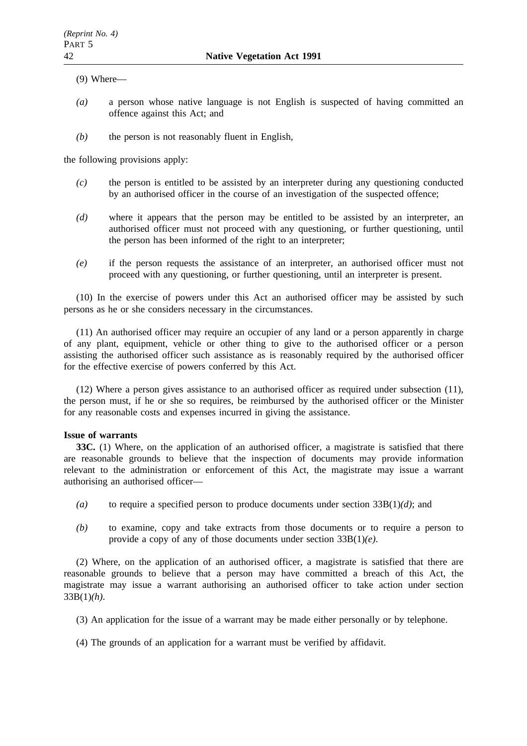(9) Where—

- *(a)* a person whose native language is not English is suspected of having committed an offence against this Act; and
- *(b)* the person is not reasonably fluent in English,

the following provisions apply:

- *(c)* the person is entitled to be assisted by an interpreter during any questioning conducted by an authorised officer in the course of an investigation of the suspected offence;
- *(d)* where it appears that the person may be entitled to be assisted by an interpreter, an authorised officer must not proceed with any questioning, or further questioning, until the person has been informed of the right to an interpreter;
- *(e)* if the person requests the assistance of an interpreter, an authorised officer must not proceed with any questioning, or further questioning, until an interpreter is present.

(10) In the exercise of powers under this Act an authorised officer may be assisted by such persons as he or she considers necessary in the circumstances.

(11) An authorised officer may require an occupier of any land or a person apparently in charge of any plant, equipment, vehicle or other thing to give to the authorised officer or a person assisting the authorised officer such assistance as is reasonably required by the authorised officer for the effective exercise of powers conferred by this Act.

(12) Where a person gives assistance to an authorised officer as required under subsection (11), the person must, if he or she so requires, be reimbursed by the authorised officer or the Minister for any reasonable costs and expenses incurred in giving the assistance.

### **Issue of warrants**

**33C.** (1) Where, on the application of an authorised officer, a magistrate is satisfied that there are reasonable grounds to believe that the inspection of documents may provide information relevant to the administration or enforcement of this Act, the magistrate may issue a warrant authorising an authorised officer—

- *(a)* to require a specified person to produce documents under section 33B(1)*(d)*; and
- *(b)* to examine, copy and take extracts from those documents or to require a person to provide a copy of any of those documents under section 33B(1)*(e)*.

(2) Where, on the application of an authorised officer, a magistrate is satisfied that there are reasonable grounds to believe that a person may have committed a breach of this Act, the magistrate may issue a warrant authorising an authorised officer to take action under section 33B(1)*(h)*.

(3) An application for the issue of a warrant may be made either personally or by telephone.

(4) The grounds of an application for a warrant must be verified by affidavit.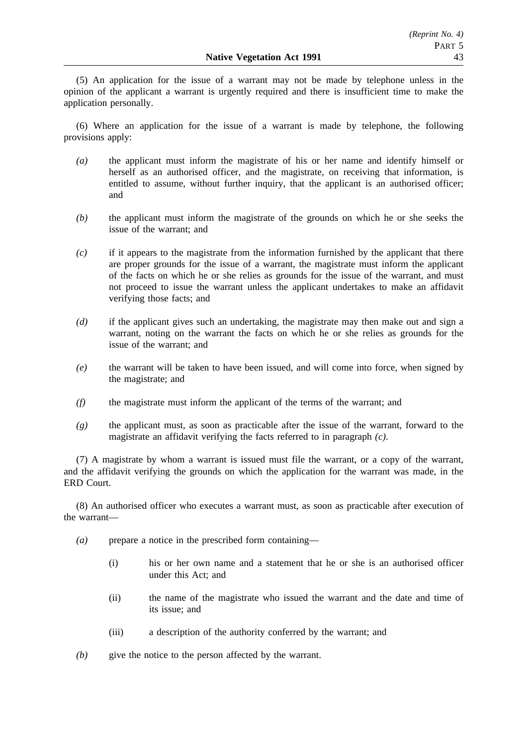(5) An application for the issue of a warrant may not be made by telephone unless in the opinion of the applicant a warrant is urgently required and there is insufficient time to make the application personally.

(6) Where an application for the issue of a warrant is made by telephone, the following provisions apply:

- *(a)* the applicant must inform the magistrate of his or her name and identify himself or herself as an authorised officer, and the magistrate, on receiving that information, is entitled to assume, without further inquiry, that the applicant is an authorised officer; and
- *(b)* the applicant must inform the magistrate of the grounds on which he or she seeks the issue of the warrant; and
- *(c)* if it appears to the magistrate from the information furnished by the applicant that there are proper grounds for the issue of a warrant, the magistrate must inform the applicant of the facts on which he or she relies as grounds for the issue of the warrant, and must not proceed to issue the warrant unless the applicant undertakes to make an affidavit verifying those facts; and
- *(d)* if the applicant gives such an undertaking, the magistrate may then make out and sign a warrant, noting on the warrant the facts on which he or she relies as grounds for the issue of the warrant; and
- *(e)* the warrant will be taken to have been issued, and will come into force, when signed by the magistrate; and
- *(f)* the magistrate must inform the applicant of the terms of the warrant; and
- *(g)* the applicant must, as soon as practicable after the issue of the warrant, forward to the magistrate an affidavit verifying the facts referred to in paragraph *(c)*.

(7) A magistrate by whom a warrant is issued must file the warrant, or a copy of the warrant, and the affidavit verifying the grounds on which the application for the warrant was made, in the ERD Court.

(8) An authorised officer who executes a warrant must, as soon as practicable after execution of the warrant—

- *(a)* prepare a notice in the prescribed form containing—
	- (i) his or her own name and a statement that he or she is an authorised officer under this Act; and
	- (ii) the name of the magistrate who issued the warrant and the date and time of its issue; and
	- (iii) a description of the authority conferred by the warrant; and
- *(b)* give the notice to the person affected by the warrant.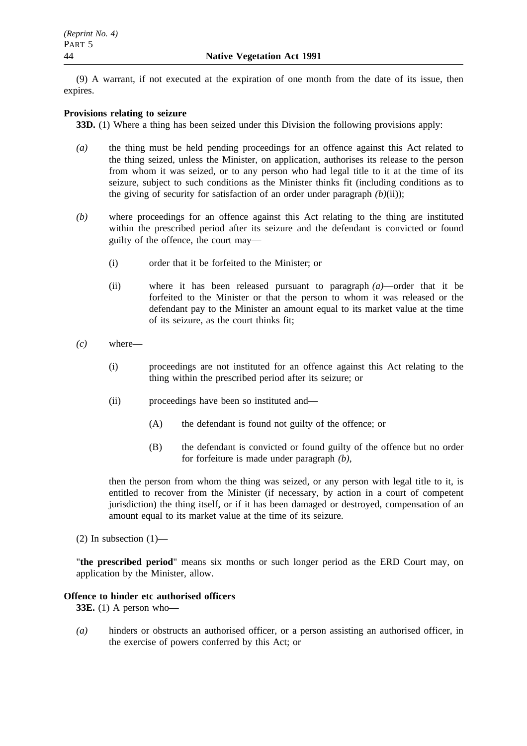(9) A warrant, if not executed at the expiration of one month from the date of its issue, then expires.

### **Provisions relating to seizure**

**33D.** (1) Where a thing has been seized under this Division the following provisions apply:

- *(a)* the thing must be held pending proceedings for an offence against this Act related to the thing seized, unless the Minister, on application, authorises its release to the person from whom it was seized, or to any person who had legal title to it at the time of its seizure, subject to such conditions as the Minister thinks fit (including conditions as to the giving of security for satisfaction of an order under paragraph *(b)*(ii));
- *(b)* where proceedings for an offence against this Act relating to the thing are instituted within the prescribed period after its seizure and the defendant is convicted or found guilty of the offence, the court may—
	- (i) order that it be forfeited to the Minister; or
	- (ii) where it has been released pursuant to paragraph *(a)*—order that it be forfeited to the Minister or that the person to whom it was released or the defendant pay to the Minister an amount equal to its market value at the time of its seizure, as the court thinks fit;
- *(c)* where—
	- (i) proceedings are not instituted for an offence against this Act relating to the thing within the prescribed period after its seizure; or
	- (ii) proceedings have been so instituted and—
		- (A) the defendant is found not guilty of the offence; or
		- (B) the defendant is convicted or found guilty of the offence but no order for forfeiture is made under paragraph *(b)*,

then the person from whom the thing was seized, or any person with legal title to it, is entitled to recover from the Minister (if necessary, by action in a court of competent jurisdiction) the thing itself, or if it has been damaged or destroyed, compensation of an amount equal to its market value at the time of its seizure.

(2) In subsection  $(1)$ —

"**the prescribed period**" means six months or such longer period as the ERD Court may, on application by the Minister, allow.

### **Offence to hinder etc authorised officers**

**33E.** (1) A person who—

*(a)* hinders or obstructs an authorised officer, or a person assisting an authorised officer, in the exercise of powers conferred by this Act; or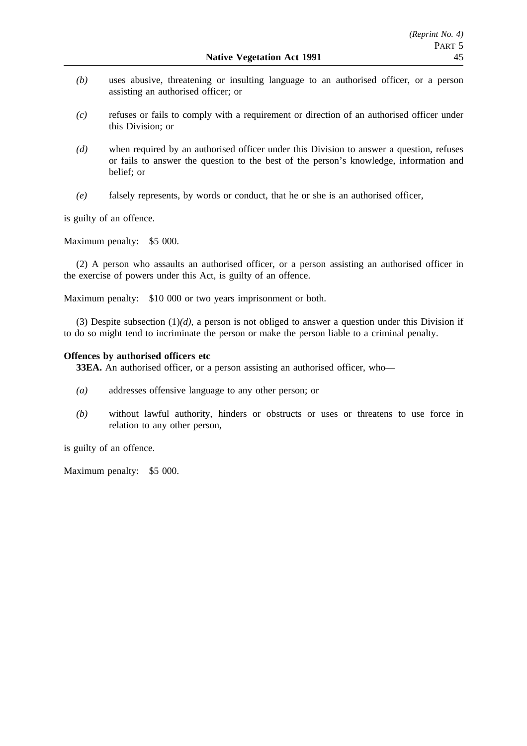- *(b)* uses abusive, threatening or insulting language to an authorised officer, or a person assisting an authorised officer; or
- *(c)* refuses or fails to comply with a requirement or direction of an authorised officer under this Division; or
- *(d)* when required by an authorised officer under this Division to answer a question, refuses or fails to answer the question to the best of the person's knowledge, information and belief; or
- *(e)* falsely represents, by words or conduct, that he or she is an authorised officer,

is guilty of an offence.

Maximum penalty: \$5 000.

(2) A person who assaults an authorised officer, or a person assisting an authorised officer in the exercise of powers under this Act, is guilty of an offence.

Maximum penalty: \$10 000 or two years imprisonment or both.

(3) Despite subsection  $(1)(d)$ , a person is not obliged to answer a question under this Division if to do so might tend to incriminate the person or make the person liable to a criminal penalty.

### **Offences by authorised officers etc**

**33EA.** An authorised officer, or a person assisting an authorised officer, who—

- *(a)* addresses offensive language to any other person; or
- *(b)* without lawful authority, hinders or obstructs or uses or threatens to use force in relation to any other person,

is guilty of an offence.

Maximum penalty: \$5 000.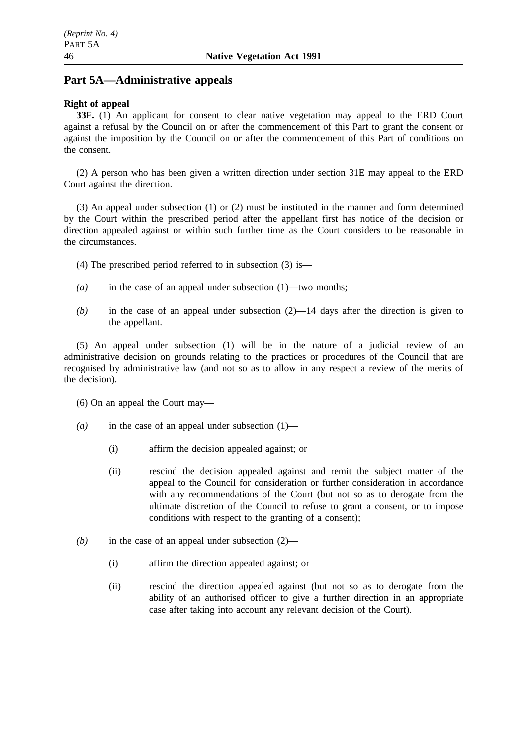## **Part 5A—Administrative appeals**

### **Right of appeal**

**33F.** (1) An applicant for consent to clear native vegetation may appeal to the ERD Court against a refusal by the Council on or after the commencement of this Part to grant the consent or against the imposition by the Council on or after the commencement of this Part of conditions on the consent.

(2) A person who has been given a written direction under section 31E may appeal to the ERD Court against the direction.

(3) An appeal under subsection (1) or (2) must be instituted in the manner and form determined by the Court within the prescribed period after the appellant first has notice of the decision or direction appealed against or within such further time as the Court considers to be reasonable in the circumstances.

- (4) The prescribed period referred to in subsection (3) is—
- *(a)* in the case of an appeal under subsection (1)—two months;
- *(b)* in the case of an appeal under subsection (2)—14 days after the direction is given to the appellant.

(5) An appeal under subsection (1) will be in the nature of a judicial review of an administrative decision on grounds relating to the practices or procedures of the Council that are recognised by administrative law (and not so as to allow in any respect a review of the merits of the decision).

- (6) On an appeal the Court may—
- *(a)* in the case of an appeal under subsection (1)—
	- (i) affirm the decision appealed against; or
	- (ii) rescind the decision appealed against and remit the subject matter of the appeal to the Council for consideration or further consideration in accordance with any recommendations of the Court (but not so as to derogate from the ultimate discretion of the Council to refuse to grant a consent, or to impose conditions with respect to the granting of a consent);
- *(b)* in the case of an appeal under subsection (2)—
	- (i) affirm the direction appealed against; or
	- (ii) rescind the direction appealed against (but not so as to derogate from the ability of an authorised officer to give a further direction in an appropriate case after taking into account any relevant decision of the Court).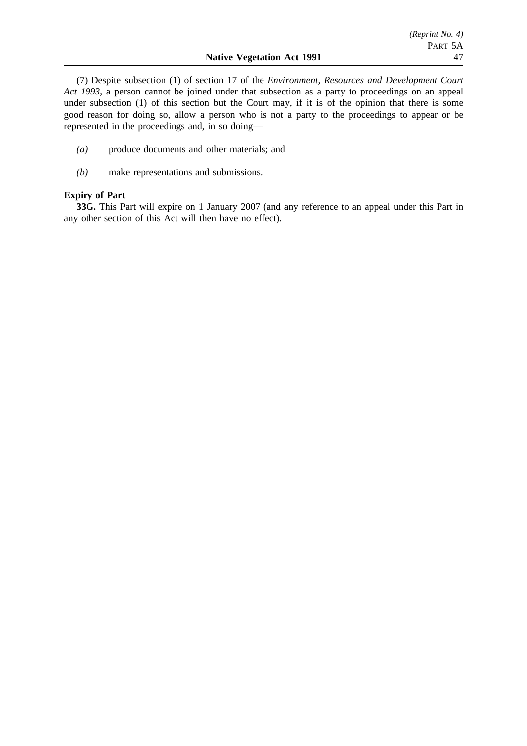(7) Despite subsection (1) of section 17 of the *Environment, Resources and Development Court Act 1993*, a person cannot be joined under that subsection as a party to proceedings on an appeal under subsection (1) of this section but the Court may, if it is of the opinion that there is some good reason for doing so, allow a person who is not a party to the proceedings to appear or be represented in the proceedings and, in so doing—

- *(a)* produce documents and other materials; and
- *(b)* make representations and submissions.

### **Expiry of Part**

**33G.** This Part will expire on 1 January 2007 (and any reference to an appeal under this Part in any other section of this Act will then have no effect).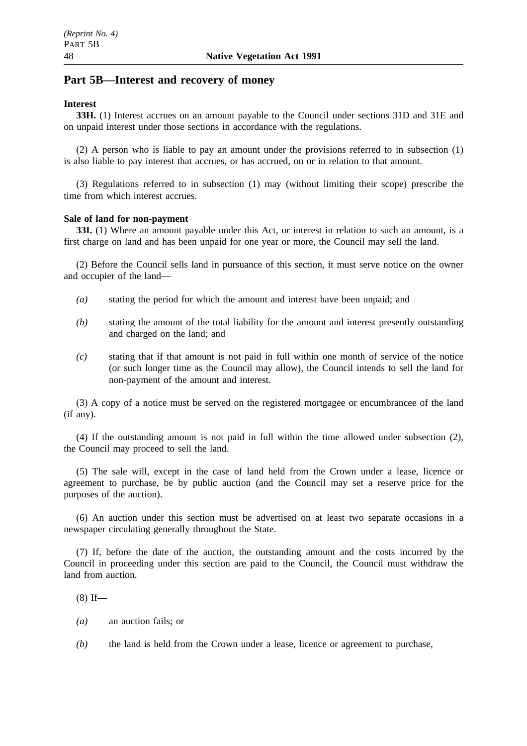## **Part 5B—Interest and recovery of money**

### **Interest**

**33H.** (1) Interest accrues on an amount payable to the Council under sections 31D and 31E and on unpaid interest under those sections in accordance with the regulations.

(2) A person who is liable to pay an amount under the provisions referred to in subsection (1) is also liable to pay interest that accrues, or has accrued, on or in relation to that amount.

(3) Regulations referred to in subsection (1) may (without limiting their scope) prescribe the time from which interest accrues.

### **Sale of land for non-payment**

**33I.** (1) Where an amount payable under this Act, or interest in relation to such an amount, is a first charge on land and has been unpaid for one year or more, the Council may sell the land.

(2) Before the Council sells land in pursuance of this section, it must serve notice on the owner and occupier of the land—

- *(a)* stating the period for which the amount and interest have been unpaid; and
- *(b)* stating the amount of the total liability for the amount and interest presently outstanding and charged on the land; and
- *(c)* stating that if that amount is not paid in full within one month of service of the notice (or such longer time as the Council may allow), the Council intends to sell the land for non-payment of the amount and interest.

(3) A copy of a notice must be served on the registered mortgagee or encumbrancee of the land (if any).

(4) If the outstanding amount is not paid in full within the time allowed under subsection (2), the Council may proceed to sell the land.

(5) The sale will, except in the case of land held from the Crown under a lease, licence or agreement to purchase, be by public auction (and the Council may set a reserve price for the purposes of the auction).

(6) An auction under this section must be advertised on at least two separate occasions in a newspaper circulating generally throughout the State.

(7) If, before the date of the auction, the outstanding amount and the costs incurred by the Council in proceeding under this section are paid to the Council, the Council must withdraw the land from auction.

 $(8)$  If—

- *(a)* an auction fails; or
- *(b)* the land is held from the Crown under a lease, licence or agreement to purchase,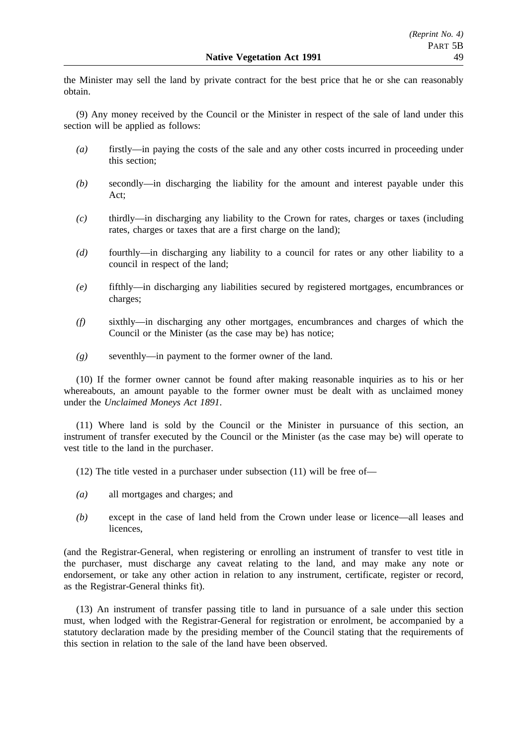the Minister may sell the land by private contract for the best price that he or she can reasonably obtain.

(9) Any money received by the Council or the Minister in respect of the sale of land under this section will be applied as follows:

- *(a)* firstly—in paying the costs of the sale and any other costs incurred in proceeding under this section;
- *(b)* secondly—in discharging the liability for the amount and interest payable under this Act;
- *(c)* thirdly—in discharging any liability to the Crown for rates, charges or taxes (including rates, charges or taxes that are a first charge on the land);
- *(d)* fourthly—in discharging any liability to a council for rates or any other liability to a council in respect of the land;
- *(e)* fifthly—in discharging any liabilities secured by registered mortgages, encumbrances or charges;
- *(f)* sixthly—in discharging any other mortgages, encumbrances and charges of which the Council or the Minister (as the case may be) has notice;
- *(g)* seventhly—in payment to the former owner of the land.

(10) If the former owner cannot be found after making reasonable inquiries as to his or her whereabouts, an amount payable to the former owner must be dealt with as unclaimed money under the *Unclaimed Moneys Act 1891*.

(11) Where land is sold by the Council or the Minister in pursuance of this section, an instrument of transfer executed by the Council or the Minister (as the case may be) will operate to vest title to the land in the purchaser.

(12) The title vested in a purchaser under subsection (11) will be free of—

- *(a)* all mortgages and charges; and
- *(b)* except in the case of land held from the Crown under lease or licence—all leases and licences,

(and the Registrar-General, when registering or enrolling an instrument of transfer to vest title in the purchaser, must discharge any caveat relating to the land, and may make any note or endorsement, or take any other action in relation to any instrument, certificate, register or record, as the Registrar-General thinks fit).

(13) An instrument of transfer passing title to land in pursuance of a sale under this section must, when lodged with the Registrar-General for registration or enrolment, be accompanied by a statutory declaration made by the presiding member of the Council stating that the requirements of this section in relation to the sale of the land have been observed.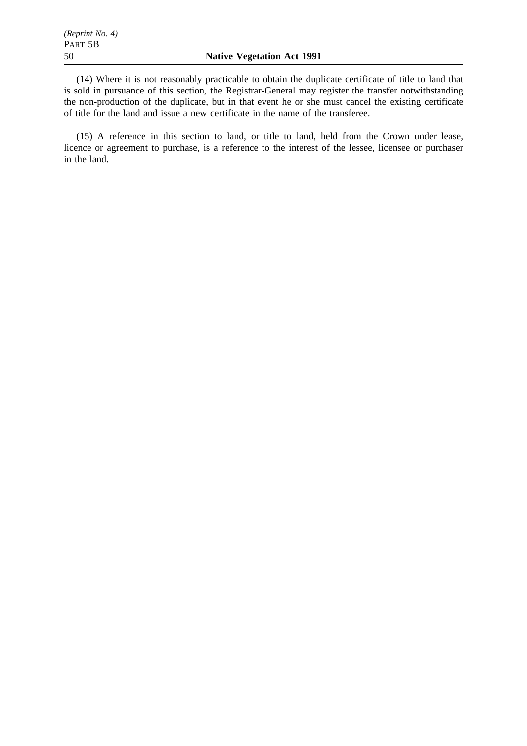(14) Where it is not reasonably practicable to obtain the duplicate certificate of title to land that is sold in pursuance of this section, the Registrar-General may register the transfer notwithstanding the non-production of the duplicate, but in that event he or she must cancel the existing certificate of title for the land and issue a new certificate in the name of the transferee.

(15) A reference in this section to land, or title to land, held from the Crown under lease, licence or agreement to purchase, is a reference to the interest of the lessee, licensee or purchaser in the land.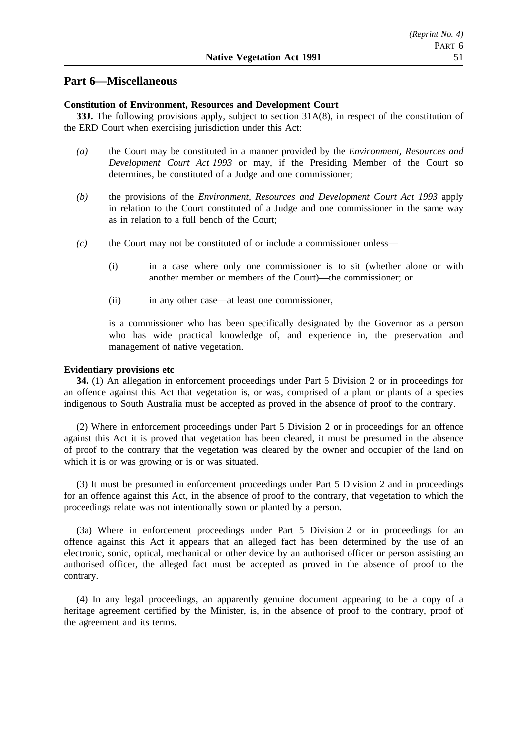### **Part 6—Miscellaneous**

### **Constitution of Environment, Resources and Development Court**

**33J.** The following provisions apply, subject to section 31A(8), in respect of the constitution of the ERD Court when exercising jurisdiction under this Act:

- *(a)* the Court may be constituted in a manner provided by the *Environment, Resources and Development Court Act 1993* or may, if the Presiding Member of the Court so determines, be constituted of a Judge and one commissioner;
- *(b)* the provisions of the *Environment, Resources and Development Court Act 1993* apply in relation to the Court constituted of a Judge and one commissioner in the same way as in relation to a full bench of the Court;
- *(c)* the Court may not be constituted of or include a commissioner unless—
	- (i) in a case where only one commissioner is to sit (whether alone or with another member or members of the Court)—the commissioner; or
	- (ii) in any other case—at least one commissioner,

is a commissioner who has been specifically designated by the Governor as a person who has wide practical knowledge of, and experience in, the preservation and management of native vegetation.

## **Evidentiary provisions etc**

**34.** (1) An allegation in enforcement proceedings under Part 5 Division 2 or in proceedings for an offence against this Act that vegetation is, or was, comprised of a plant or plants of a species indigenous to South Australia must be accepted as proved in the absence of proof to the contrary.

(2) Where in enforcement proceedings under Part 5 Division 2 or in proceedings for an offence against this Act it is proved that vegetation has been cleared, it must be presumed in the absence of proof to the contrary that the vegetation was cleared by the owner and occupier of the land on which it is or was growing or is or was situated.

(3) It must be presumed in enforcement proceedings under Part 5 Division 2 and in proceedings for an offence against this Act, in the absence of proof to the contrary, that vegetation to which the proceedings relate was not intentionally sown or planted by a person.

(3a) Where in enforcement proceedings under Part 5 Division 2 or in proceedings for an offence against this Act it appears that an alleged fact has been determined by the use of an electronic, sonic, optical, mechanical or other device by an authorised officer or person assisting an authorised officer, the alleged fact must be accepted as proved in the absence of proof to the contrary.

(4) In any legal proceedings, an apparently genuine document appearing to be a copy of a heritage agreement certified by the Minister, is, in the absence of proof to the contrary, proof of the agreement and its terms.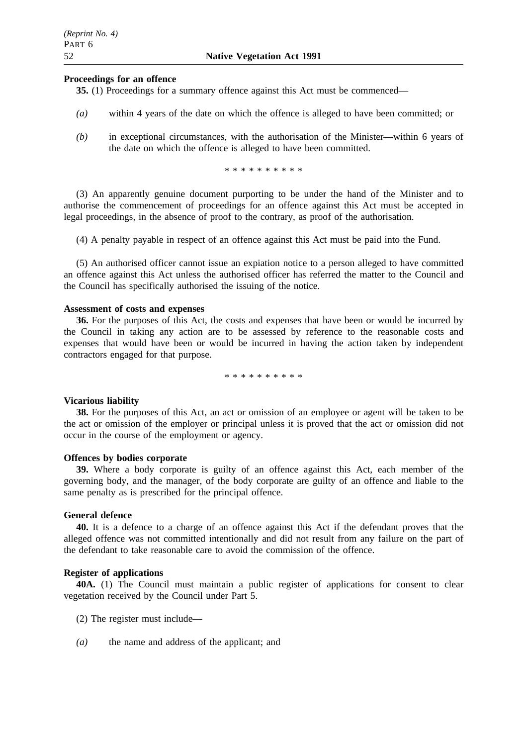### **Proceedings for an offence**

**35.** (1) Proceedings for a summary offence against this Act must be commenced—

- *(a)* within 4 years of the date on which the offence is alleged to have been committed; or
- *(b)* in exceptional circumstances, with the authorisation of the Minister—within 6 years of the date on which the offence is alleged to have been committed.

\*\*\*\*\*\*\*\*\*\*

(3) An apparently genuine document purporting to be under the hand of the Minister and to authorise the commencement of proceedings for an offence against this Act must be accepted in legal proceedings, in the absence of proof to the contrary, as proof of the authorisation.

(4) A penalty payable in respect of an offence against this Act must be paid into the Fund.

(5) An authorised officer cannot issue an expiation notice to a person alleged to have committed an offence against this Act unless the authorised officer has referred the matter to the Council and the Council has specifically authorised the issuing of the notice.

### **Assessment of costs and expenses**

**36.** For the purposes of this Act, the costs and expenses that have been or would be incurred by the Council in taking any action are to be assessed by reference to the reasonable costs and expenses that would have been or would be incurred in having the action taken by independent contractors engaged for that purpose.

\*\*\*\*\*\*\*\*\*\*

### **Vicarious liability**

**38.** For the purposes of this Act, an act or omission of an employee or agent will be taken to be the act or omission of the employer or principal unless it is proved that the act or omission did not occur in the course of the employment or agency.

#### **Offences by bodies corporate**

**39.** Where a body corporate is guilty of an offence against this Act, each member of the governing body, and the manager, of the body corporate are guilty of an offence and liable to the same penalty as is prescribed for the principal offence.

### **General defence**

**40.** It is a defence to a charge of an offence against this Act if the defendant proves that the alleged offence was not committed intentionally and did not result from any failure on the part of the defendant to take reasonable care to avoid the commission of the offence.

### **Register of applications**

**40A.** (1) The Council must maintain a public register of applications for consent to clear vegetation received by the Council under Part 5.

- (2) The register must include—
- *(a)* the name and address of the applicant; and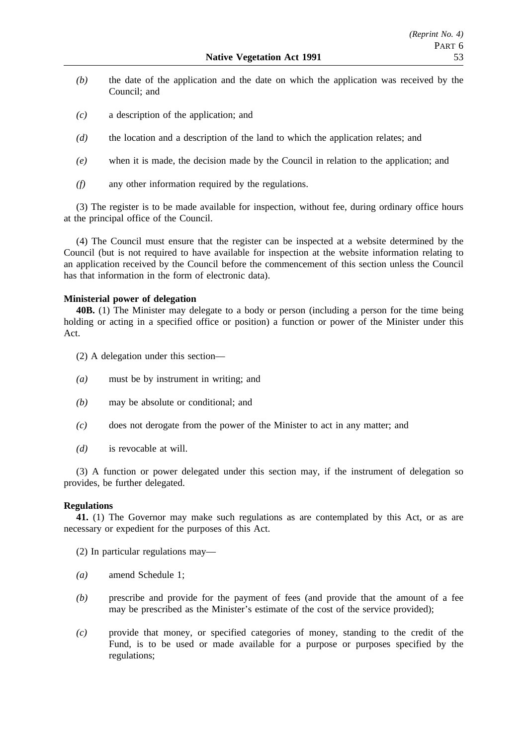- *(b)* the date of the application and the date on which the application was received by the Council; and
- *(c)* a description of the application; and
- *(d)* the location and a description of the land to which the application relates; and
- *(e)* when it is made, the decision made by the Council in relation to the application; and
- *(f)* any other information required by the regulations.

(3) The register is to be made available for inspection, without fee, during ordinary office hours at the principal office of the Council.

(4) The Council must ensure that the register can be inspected at a website determined by the Council (but is not required to have available for inspection at the website information relating to an application received by the Council before the commencement of this section unless the Council has that information in the form of electronic data).

### **Ministerial power of delegation**

**40B.** (1) The Minister may delegate to a body or person (including a person for the time being holding or acting in a specified office or position) a function or power of the Minister under this Act.

- (2) A delegation under this section—
- *(a)* must be by instrument in writing; and
- *(b)* may be absolute or conditional; and
- *(c)* does not derogate from the power of the Minister to act in any matter; and
- *(d)* is revocable at will.

(3) A function or power delegated under this section may, if the instrument of delegation so provides, be further delegated.

### **Regulations**

**41.** (1) The Governor may make such regulations as are contemplated by this Act, or as are necessary or expedient for the purposes of this Act.

(2) In particular regulations may—

- *(a)* amend Schedule 1;
- *(b)* prescribe and provide for the payment of fees (and provide that the amount of a fee may be prescribed as the Minister's estimate of the cost of the service provided);
- *(c)* provide that money, or specified categories of money, standing to the credit of the Fund, is to be used or made available for a purpose or purposes specified by the regulations;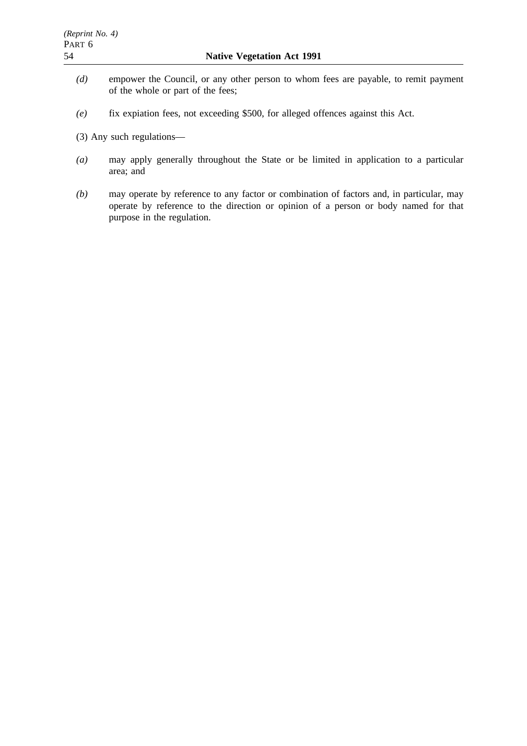- *(d)* empower the Council, or any other person to whom fees are payable, to remit payment of the whole or part of the fees;
- *(e)* fix expiation fees, not exceeding \$500, for alleged offences against this Act.
- (3) Any such regulations—
- *(a)* may apply generally throughout the State or be limited in application to a particular area; and
- *(b)* may operate by reference to any factor or combination of factors and, in particular, may operate by reference to the direction or opinion of a person or body named for that purpose in the regulation.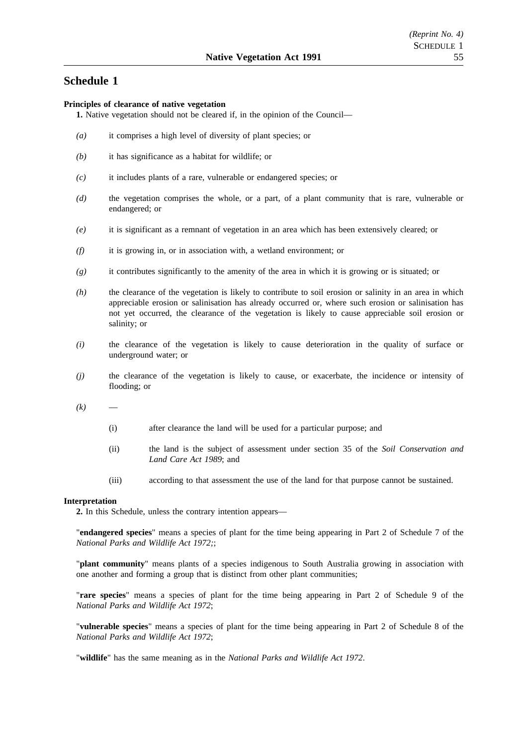## **Schedule 1**

### **Principles of clearance of native vegetation**

- **1.** Native vegetation should not be cleared if, in the opinion of the Council—
- *(a)* it comprises a high level of diversity of plant species; or
- *(b)* it has significance as a habitat for wildlife; or
- *(c)* it includes plants of a rare, vulnerable or endangered species; or
- *(d)* the vegetation comprises the whole, or a part, of a plant community that is rare, vulnerable or endangered; or
- *(e)* it is significant as a remnant of vegetation in an area which has been extensively cleared; or
- *(f)* it is growing in, or in association with, a wetland environment; or
- *(g)* it contributes significantly to the amenity of the area in which it is growing or is situated; or
- *(h)* the clearance of the vegetation is likely to contribute to soil erosion or salinity in an area in which appreciable erosion or salinisation has already occurred or, where such erosion or salinisation has not yet occurred, the clearance of the vegetation is likely to cause appreciable soil erosion or salinity; or
- *(i)* the clearance of the vegetation is likely to cause deterioration in the quality of surface or underground water; or
- *(j)* the clearance of the vegetation is likely to cause, or exacerbate, the incidence or intensity of flooding; or
- $(k)$ 
	- (i) after clearance the land will be used for a particular purpose; and
	- (ii) the land is the subject of assessment under section 35 of the *Soil Conservation and Land Care Act 1989*; and
	- (iii) according to that assessment the use of the land for that purpose cannot be sustained.

#### **Interpretation**

**2.** In this Schedule, unless the contrary intention appears—

"**endangered species**" means a species of plant for the time being appearing in Part 2 of Schedule 7 of the *National Parks and Wildlife Act 1972;*;

"**plant community**" means plants of a species indigenous to South Australia growing in association with one another and forming a group that is distinct from other plant communities;

"**rare species**" means a species of plant for the time being appearing in Part 2 of Schedule 9 of the *National Parks and Wildlife Act 1972*;

"**vulnerable species**" means a species of plant for the time being appearing in Part 2 of Schedule 8 of the *National Parks and Wildlife Act 1972*;

"**wildlife**" has the same meaning as in the *National Parks and Wildlife Act 1972*.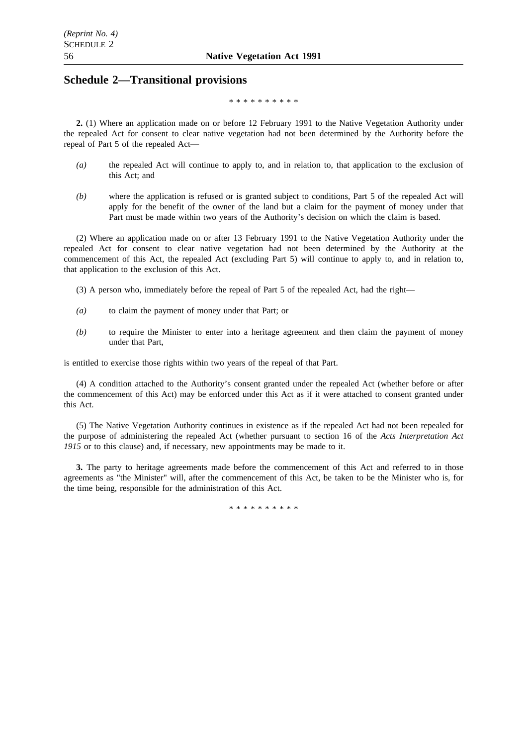## **Schedule 2—Transitional provisions**

\*\*\*\*\*\*\*\*\*\*

**2.** (1) Where an application made on or before 12 February 1991 to the Native Vegetation Authority under the repealed Act for consent to clear native vegetation had not been determined by the Authority before the repeal of Part 5 of the repealed Act—

- *(a)* the repealed Act will continue to apply to, and in relation to, that application to the exclusion of this Act; and
- *(b)* where the application is refused or is granted subject to conditions, Part 5 of the repealed Act will apply for the benefit of the owner of the land but a claim for the payment of money under that Part must be made within two years of the Authority's decision on which the claim is based.

(2) Where an application made on or after 13 February 1991 to the Native Vegetation Authority under the repealed Act for consent to clear native vegetation had not been determined by the Authority at the commencement of this Act, the repealed Act (excluding Part 5) will continue to apply to, and in relation to, that application to the exclusion of this Act.

- (3) A person who, immediately before the repeal of Part 5 of the repealed Act, had the right—
- *(a)* to claim the payment of money under that Part; or
- *(b)* to require the Minister to enter into a heritage agreement and then claim the payment of money under that Part,

is entitled to exercise those rights within two years of the repeal of that Part.

(4) A condition attached to the Authority's consent granted under the repealed Act (whether before or after the commencement of this Act) may be enforced under this Act as if it were attached to consent granted under this Act.

(5) The Native Vegetation Authority continues in existence as if the repealed Act had not been repealed for the purpose of administering the repealed Act (whether pursuant to section 16 of the *Acts Interpretation Act* 1915 or to this clause) and, if necessary, new appointments may be made to it.

**3.** The party to heritage agreements made before the commencement of this Act and referred to in those agreements as "the Minister" will, after the commencement of this Act, be taken to be the Minister who is, for the time being, responsible for the administration of this Act.

\*\*\*\*\*\*\*\*\*\*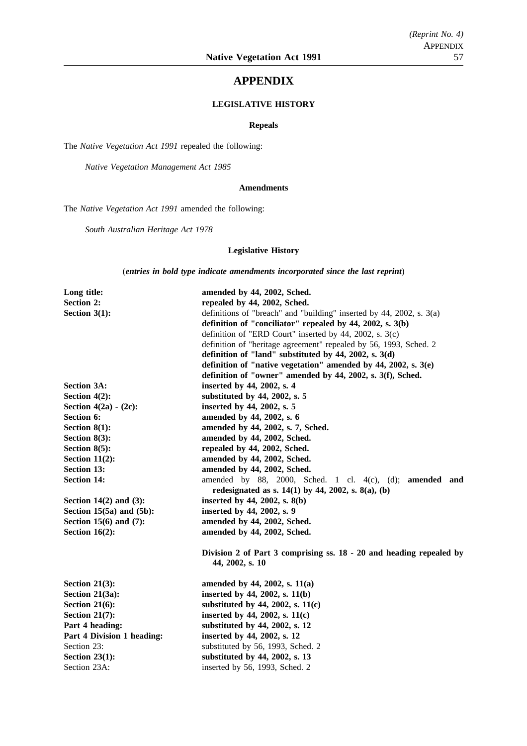### **APPENDIX**

### **LEGISLATIVE HISTORY**

#### **Repeals**

The *Native Vegetation Act 1991* repealed the following:

*Native Vegetation Management Act 1985*

### **Amendments**

The *Native Vegetation Act 1991* amended the following:

*South Australian Heritage Act 1978*

### **Legislative History**

(*entries in bold type indicate amendments incorporated since the last reprint*)

| Long title:                  | amended by 44, 2002, Sched.                                                  |  |  |
|------------------------------|------------------------------------------------------------------------------|--|--|
| <b>Section 2:</b>            | repealed by 44, 2002, Sched.                                                 |  |  |
| Section $3(1)$ :             | definitions of "breach" and "building" inserted by $44$ , $2002$ , s. $3(a)$ |  |  |
|                              | definition of "conciliator" repealed by 44, 2002, s. 3(b)                    |  |  |
|                              | definition of "ERD Court" inserted by 44, 2002, s. 3(c)                      |  |  |
|                              | definition of "heritage agreement" repealed by 56, 1993, Sched. 2            |  |  |
|                              | definition of "land" substituted by $44$ , $2002$ , s. $3(d)$                |  |  |
|                              | definition of "native vegetation" amended by 44, 2002, s. $3(e)$             |  |  |
|                              | definition of "owner" amended by 44, 2002, s. 3(f), Sched.                   |  |  |
| <b>Section 3A:</b>           | inserted by 44, 2002, s. 4                                                   |  |  |
| Section $4(2)$ :             | substituted by 44, 2002, s. 5                                                |  |  |
| Section $4(2a) - (2c)$ :     | inserted by 44, 2002, s. 5                                                   |  |  |
| Section 6:                   | amended by 44, 2002, s. 6                                                    |  |  |
| Section $8(1)$ :             | amended by 44, 2002, s. 7, Sched.                                            |  |  |
| Section $8(3)$ :             | amended by 44, 2002, Sched.                                                  |  |  |
| Section $8(5)$ :             | repealed by 44, 2002, Sched.                                                 |  |  |
| Section $11(2)$ :            | amended by 44, 2002, Sched.                                                  |  |  |
| Section 13:                  | amended by 44, 2002, Sched.                                                  |  |  |
| <b>Section 14:</b>           | amended by 88, 2000, Sched. 1 cl. 4(c), (d); amended and                     |  |  |
|                              | redesignated as s. $14(1)$ by 44, 2002, s. $8(a)$ , (b)                      |  |  |
| Section $14(2)$ and $(3)$ :  | inserted by 44, 2002, s. 8(b)                                                |  |  |
| Section 15(5a) and (5b):     | inserted by 44, 2002, s. 9                                                   |  |  |
| Section 15 $(6)$ and $(7)$ : | amended by 44, 2002, Sched.                                                  |  |  |
| Section $16(2)$ :            | amended by 44, 2002, Sched.                                                  |  |  |
|                              | Division 2 of Part 3 comprising ss. 18 - 20 and heading repealed by          |  |  |
|                              | 44, 2002, s. 10                                                              |  |  |
| Section $21(3)$ :            | amended by 44, 2002, s. 11(a)                                                |  |  |
| Section 21(3a):              | inserted by 44, 2002, s. 11(b)                                               |  |  |
| Section $21(6)$ :            | substituted by 44, 2002, s. $11(c)$                                          |  |  |
| Section $21(7)$ :            | inserted by 44, 2002, s. $11(c)$                                             |  |  |
| Part 4 heading:              | substituted by 44, 2002, s. 12                                               |  |  |
| Part 4 Division 1 heading:   | inserted by 44, 2002, s. 12                                                  |  |  |
| Section 23:                  | substituted by 56, 1993, Sched. 2                                            |  |  |
| Section $23(1)$ :            | substituted by 44, 2002, s. 13                                               |  |  |
| Section 23A:                 | inserted by 56, 1993, Sched. 2                                               |  |  |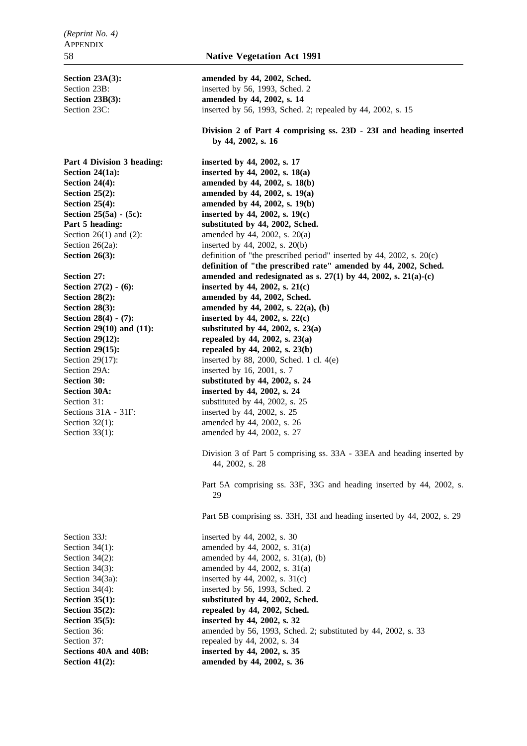Section 29A: inserted by 16, 2001, s. 7

**Section 41(2):** amended by 44, 2002, s. 36

Section 23A(3): **amended by 44, 2002, Sched.** Section 23B: inserted by 56, 1993, Sched. 2 **Section 23B(3):** amended by 44, 2002, s. 14 Section 23C: inserted by 56, 1993, Sched. 2; repealed by 44, 2002, s. 15

> **Division 2 of Part 4 comprising ss. 23D - 23I and heading inserted by 44, 2002, s. 16**

Part 4 Division 3 heading: inserted by 44, 2002, s. 17 **Section 24(1a):** inserted by 44, 2002, s. 18(a) **Section 24(4):** amended by 44, 2002, s. 18(b) **Section 25(2): amended by 44, 2002, s. 19(a) Section 25(4):** amended by 44, 2002, s. 19(b) **Section 25(5a) - (5c): inserted by 44, 2002, s. 19(c)** Part 5 heading: substituted by 44, 2002, Sched. Section 26(1) and (2): amended by 44, 2002, s. 20(a) Section 26(2a): inserted by 44, 2002, s. 20(b) **Section 26(3):** definition of "the prescribed period" inserted by 44, 2002, s. 20(c) **definition of "the prescribed rate" amended by 44, 2002, Sched. Section 27: amended and redesignated as s. 27(1) by 44, 2002, s. 21(a)-(c)** Section 27(2) - (6): inserted by 44, 2002, s. 21(c) **Section 28(2): amended by 44, 2002, Sched. Section 28(3):** amended by 44, 2002, s. 22(a), (b) **Section 28(4) - (7): inserted by 44, 2002, s. 22(c) Section 29(10) and (11): substituted by 44, 2002, s. 23(a) Section 29(12):** repealed by 44, 2002, s. 23(a) **Section 29(15):** repealed by 44, 2002, s. 23(b) Section 29(17): inserted by 88, 2000, Sched. 1 cl. 4(e) **Section 30:** substituted by 44, 2002, s. 24 **Section 30A: inserted by 44, 2002, s. 24** Section 31: substituted by 44, 2002, s. 25 Sections 31A - 31F: inserted by 44, 2002, s. 25 Section 32(1): amended by 44, 2002, s. 26 Section 33(1): amended by 44, 2002, s. 27 Division 3 of Part 5 comprising ss. 33A - 33EA and heading inserted by 44, 2002, s. 28 Part 5A comprising ss. 33F, 33G and heading inserted by 44, 2002, s. 29 Part 5B comprising ss. 33H, 33I and heading inserted by 44, 2002, s. 29 Section 33J: inserted by 44, 2002, s. 30 Section 34(1): amended by 44, 2002, s.  $31(a)$ Section 34(2): amended by 44, 2002, s. 31(a), (b) Section 34(3): amended by 44, 2002, s. 31(a) Section  $34(3a)$ : inserted by 44, 2002, s.  $31(c)$ Section 34(4): inserted by 56, 1993, Sched. 2 Section 35(1): substituted by 44, 2002, Sched. **Section 35(2):** repealed by 44, 2002, Sched. **Section 35(5):** inserted by 44, 2002, s. 32 Section 36: **amended** by 56, 1993, Sched. 2; substituted by 44, 2002, s. 33 Section 37: repealed by 44, 2002, s. 34 **Sections 40A and 40B: inserted by 44, 2002, s. 35**